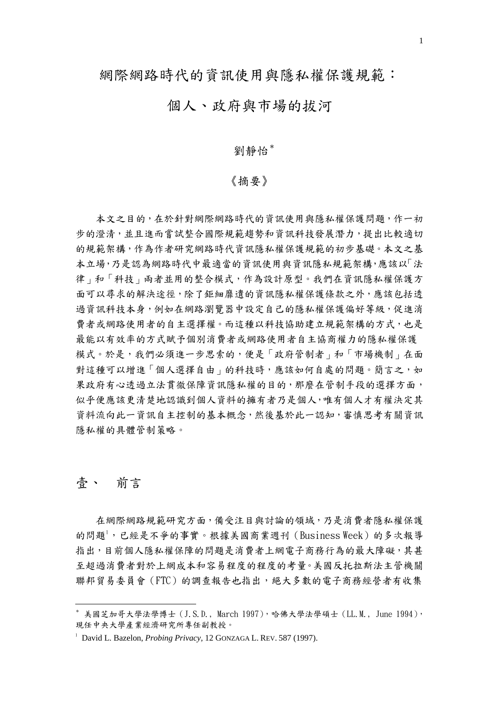# 個人、政府與市場的拔河

#### 劉靜怡[\\*](#page-0-0)

#### 《摘要》

 本文之目的,在於針對網際網路時代的資訊使用與隱私權保護問題,作一初 步的澄清,並且進而嘗試整合國際規範趨勢和資訊科技發展潛力,提出比較適切 的規範架構,作為作者研究網路時代資訊隱私權保護規範的初步基礎。本文之基 本立場,乃是認為網路時代中最適當的資訊使用與資訊隱私規範架構,應該以「法 律」和「科技」兩者並用的整合模式,作為設計原型。我們在資訊隱私權保護方 面可以尋求的解決途徑,除了鉅細靡遺的資訊隱私權保護條款之外,應該包括透 過資訊科技本身,例如在網路瀏覽器中設定自己的隱私權保護偏好等級,促進消 費者或網路使用者的自主選擇權。而這種以科技協助建立規範架構的方式,也是 最能以有效率的方式賦予個別消費者或網路使用者自主協商權力的隱私權保護 模式。於是,我們必須進一步思索的,便是「政府管制者」和「市場機制」在面 對這種可以增進「個人選擇自由」的科技時,應該如何自處的問題。簡言之,如 果政府有心透過立法貫徹保障資訊隱私權的目的,那麼在管制手段的選擇方面, 似乎便應該更清楚地認識到個人資料的擁有者乃是個人,唯有個人才有權決定其 資料流向此一資訊自主控制的基本概念,然後基於此一認知,審慎思考有關資訊 隱私權的具體管制策略。

#### 壹、 前言

1

 在網際網路規範研究方面,備受注目與討論的領域,乃是消費者隱私權保護 的問題<sup>[1](#page-0-1)</sup>,已經是不爭的事實。根據美國商業週刊 (Business Week) 的多次報導 指出,目前個人隱私權保障的問題是消費者上網電子商務行為的最大障礙,其甚 至超過消費者對於上網成本和容易程度的程度的考量。美國反托拉斯法主管機關 聯邦貿易委員會(FTC)的調查報告也指出,絕大多數的電子商務經營者有收集

<span id="page-0-0"></span> $^*$  美國芝加哥大學法學博士 (J.S.D., March 1997),哈佛大學法學碩士 (LL.M., June 1994), 現任中央大學產業經濟研究所專任副教授。

<span id="page-0-1"></span><sup>&</sup>lt;sup>1</sup> David L. Bazelon, *Probing Privacy*, 12 GONZAGA L. REV. 587 (1997).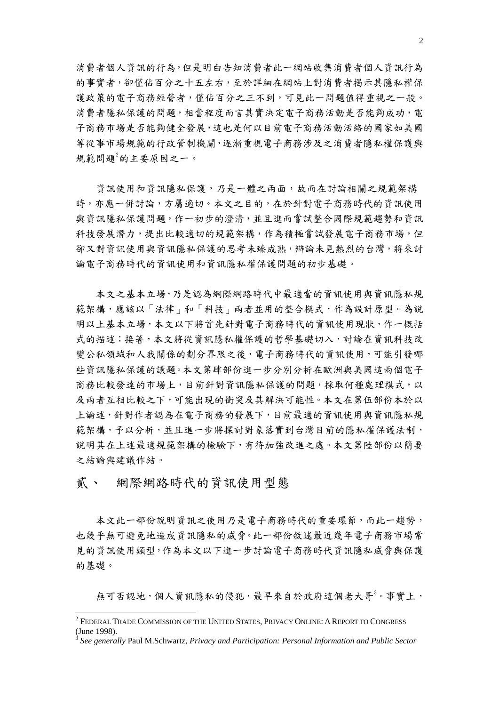消費者個人資訊的行為,但是明白告知消費者此一網站收集消費者個人資訊行為 的事實者,卻僅佔百分之十五左右,至於詳細在網站上對消費者揭示其隱私權保 護政策的電子商務經營者,僅佔百分之三不到,可見此一問題值得重視之一般。 消費者隱私保護的問題,相當程度而言其實決定電子商務活動是否能夠成功,電 子商務市場是否能夠健全發展,這也是何以目前電子商務活動活絡的國家如美國 等從事市場規範的行政管制機關,逐漸重視電子商務涉及之消費者隱私權保護與 規範問題<sup>[2](#page-1-0)</sup>的主要原因之一。

 資訊使用和資訊隱私保護,乃是一體之兩面,故而在討論相關之規範架構 時,亦應一併討論,方屬適切。本文之目的,在於針對電子商務時代的資訊使用 與資訊隱私保護問題,作一初步的澄清,並且進而嘗試整合國際規範趨勢和資訊 科技發展潛力,提出比較適切的規範架構,作為積極嘗試發展電子商務市場,但 卻又對資訊使用與資訊隱私保護的思考未臻成熟,辯論未見熱烈的台灣,將來討 論電子商務時代的資訊使用和資訊隱私權保護問題的初步基礎。

 本文之基本立場,乃是認為網際網路時代中最適當的資訊使用與資訊隱私規 範架構,應該以「法律」和「科技」兩者並用的整合模式,作為設計原型。為說 明以上基本立場,本文以下將首先針對電子商務時代的資訊使用現狀,作一概括 式的描述;接著,本文將從資訊隱私權保護的哲學基礎切入,討論在資訊科技改 變公私領域和人我關係的劃分界限之後,電子商務時代的資訊使用,可能引發哪 些資訊隱私保護的議題。本文第肆部份進一步分別分析在歐洲與美國這兩個電子 商務比較發達的市場上,目前針對資訊隱私保護的問題,採取何種處理模式,以 及兩者互相比較之下,可能出現的衝突及其解決可能性。本文在第伍部份本於以 上論述,針對作者認為在電子商務的發展下,目前最適的資訊使用與資訊隱私規 範架構,予以分析,並且進一步將探討對象落實到台灣目前的隱私權保護法制, 說明其在上述最適規範架構的檢驗下,有待加強改進之處。本文第陸部份以簡要 之結論與建議作結。

# 貳、 網際網路時代的資訊使用型態

1

 本文此一部份說明資訊之使用乃是電子商務時代的重要環節,而此一趨勢, 也幾乎無可避免地造成資訊隱私的威脅。此一部份敘述最近幾年電子商務市場常 見的資訊使用類型,作為本文以下進一步討論電子商務時代資訊隱私威脅與保護 的基礎。

無可否認地,個人資訊隱私的侵犯,最早來自於政府這個老大哥<sup>[3](#page-1-1)</sup>。事實上,

<span id="page-1-0"></span> $^2$  Federal Trade Commission of the United States, Privacy Online: A Report to Congress (June 1998).

<span id="page-1-1"></span><sup>3</sup> *See generally* Paul M.Schwartz, *Privacy and Participation: Personal Information and Public Sector*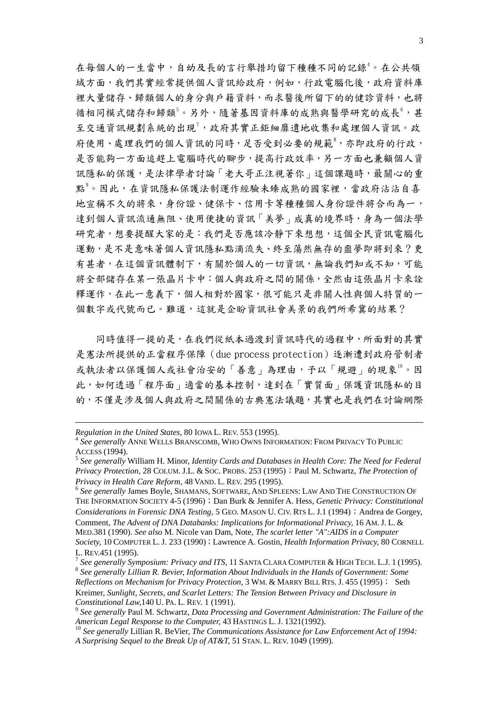在每個人的一生當中,自幼及長的言行舉措均留下種種不同的記錄[4](#page-2-0)。在公共領 域方面,我們其實經常提供個人資訊給政府,例如,行政電腦化後,政府資料庫 裡大量儲存、歸類個人的身分與戶籍資料,而求醫後所留下的的健診資料,也將 循相同模式儲存和歸類<sup>[5](#page-2-1)</sup>。另外,隨著基因資料庫的成熟與醫學研究的成長<sup>[6](#page-2-2)</sup>,甚 至交通資訊規劃系統的出現[7](#page-2-3) ,政府其實正鉅細靡遺地收集和處埋個人資訊。政 府使用、處理我們的個人資訊的同時,足否受到必要的規範<sup>[8](#page-2-4),</sup>亦即政府的行政, 是否能夠一方面追趕上電腦時代的腳步,提高行政效率,另一方面也兼顧個人資 訊隱私的保護,是法律學者討論「老大哥正注視著你」這個課題時,最關心的重 點<sup>[9](#page-2-5)</sup>。因此,在資訊隱私保護法制運作經驗未臻成熟的國家裡,當政府沾沾自喜 地宣稱不久的將來,身份證、健保卡、信用卡等種種個人身份證件將合而為一, 達到個人資訊流通無阻、使用便捷的資訊「美夢」成真的境界時,身為一個法學 研究者,想要提醒大家的是:我們是否應該冷靜下來想想,這個全民資訊電腦化 運動,是不是意味著個人資訊隱私點滴流失、終至蕩然無存的噩夢即將到來?更 有甚者,在這個資訊體制下,有關於個人的一切資訊,無論我們知或不知,可能 將全部儲存在某一張晶片卡中:個人與政府之間的關係,全然由這張晶片卡來詮 釋運作,在此一意義下,個人相對於國家,很可能只是非關人性與個人特質的一 個數字或代號而已。難道,這就是企盼資訊社會美景的我們所希冀的結果?

 同時值得一提的是,在我們從紙本過渡到資訊時代的過程中,所面對的其實 是憲法所提供的正當程序保障(due process protection)逐漸遭到政府管制者 或執法者以保護個人或社會治安的「善意」為理由,予以「規避」的現象[10](#page-2-6)。因 此,如何透過「程序面」適當的基本控制,達到在「實質面」保護資訊隱私的目 的,不僅是涉及個人與政府之間關係的古典憲法議題,其實也是我們在討論網際

<u>.</u>

<span id="page-2-2"></span> *See generally* James Boyle, SHAMANS, SOFTWARE, AND SPLEENS: LAW AND THE CONSTRUCTION OF THE INFORMATION SOCIETY 4-5 (1996); Dan Burk & Jennifer A. Hess, *Genetic Privacy: Constitutional Considerations in Forensic DNA Testing,* 5 GEO. MASON U. CIV. RTS L. J.1 (1994); Andrea de Gorgey, Comment, *The Advent of DNA Databanks: Implications for Informational Privacy,* 16 AM. J. L. & MED.381 (1990). *See also* M. Nicole van Dam, Note, *The scarlet letter "A":AIDS in a Computer Society,* 10 COMPUTER L. J. 233 (1990);Lawrence A. Gostin, *Health Information Privacy,* 80 CORNELL

<span id="page-2-0"></span>*Regulation in the United States,* 80 IOWA L. REV. 553 (1995). 4 *See generally* ANNE WELLS BRANSCOMB, WHO OWNS INFORMATION: FROM PRIVACY TO PUBLIC ACCESS (1994).<br><sup>5</sup> See generally William H. Minor, *Identity Cards and Databases in Health Core: The Need for Federal* 

<span id="page-2-1"></span>*Privacy Protection,* 28 COLUM. J.L. & SOC. PROBS. 253 (1995);Paul M. Schwartz, *The Protection of Privacy in Health Care Reform,*<sup>48</sup> VAND. L. REV. 295 (1995). 6

L. REV.451 (1995).<br><sup>7</sup> See generally Symposium: Privacy and ITS, 11 SANTA CLARA COMPUTER & HIGH TECH. L.J. 1 (1995).

<span id="page-2-4"></span><span id="page-2-3"></span>*See generally Lillian R. Bevier, Information About Individuals in the Hands of Government: Some Reflections on Mechanism for Privacy Protection,* 3 WM. & MARRY BILL RTS. J. 455 (1995); Seth

Kreimer, *Sunlight, Secrets, and Scarlet Letters: The Tension Between Privacy and Disclosure in Constitutional Law,* 140 U. PA. L. REV. 1 (1991).<br><sup>9</sup> *See generally Paul M. Schwartz, Data Processing and Government Administration: The Failure of the* 

<span id="page-2-5"></span>*American Legal Response to the Computer,* 43 HASTINGS L. J. 1321(1992).<br><sup>10</sup> *See generally Lillian R. BeVier, The Communications Assistance for Law Enforcement Act of 1994:* 

<span id="page-2-6"></span>*A Surprising Sequel to the Break Up of AT&T,* 51 STAN. L. REV. 1049 (1999).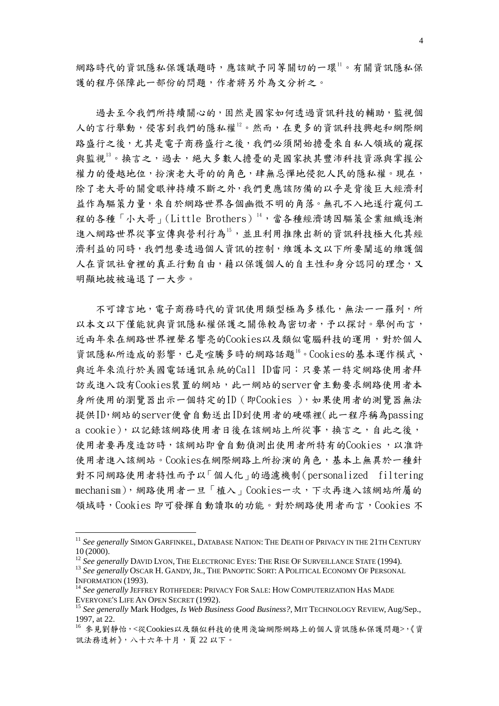網路時代的資訊隱私保護議題時,應該賦予同等關切的一環1。有關資訊隱私保 護的程序保障此一部份的問題,作者將另外為文分析之。

 過去至今我們所持續關心的,固然是國家如何透過資訊科技的輔助,監視個 人的言行舉動,侵害到我們的隱私權 $^{12}$  $^{12}$  $^{12}$ 。然而,在更多的資訊科技興起和網際網 路盛行之後,尤其是電子商務盛行之後,我們必須開始擔憂來自私人領域的窺探 與監視<sup>[13](#page-3-2)</sup>。換言之,過去,絕大多數人擔憂的是國家挾其豐沛科技資源與掌握公 權力的優越地位,扮演老大哥的的角色,肆無忌憚地侵犯人民的隱私權。現在, 除了老大哥的關愛眼神持續不斷之外,我們更應該防備的以乎是背後巨大經濟利 益作為驅策力量,來自於網路世界各個幽微不明的角落。無孔不入地遂行窺伺工 程的各種「小大哥」(Little Brothers)<sup>[14](#page-3-3),</sup>當各種經濟誘因驅策企業組織逐漸 進入網路世界從事宣傳與營利行為[15](#page-3-4),並且利用推陳出新的資訊科技極大化其經 濟利益的同時,我們想要透過個人資訊的控制,維護本文以下所要闡述的維護個 人在資訊社會裡的真正行動自由,藉以保護個人的自主性和身分認同的理念,又 明顯地披被逼退了一大步。

 不可諱言地,電子商務時代的資訊使用類型極為多樣化,無法一一羅列,所 以本文以下僅能就與資訊隱私權保護之關係較為密切者,予以探討。舉例而言, 近兩年來在網路世界裡聲名響亮的Cookies以及類似電腦科技的運用,對於個人 資訊隱私所造成的影響,已是喧騰多時的網路話題[16。](#page-3-5)Cookies的基本運作模式、 與近年來流行於美國電話通訊系統的Call ID雷同:只要某一特定網路使用者拜 訪或進入設有Cookies裝置的網站,此一網站的server會主動要求網路使用者本 身所使用的瀏覽器出示一個特定的ID(即Cookies ),如果使用者的測覽器無法 提供ID,網站的server便會自動送出ID到使用者的硬碟裡(此一程序稱為passing a cookie),以記錄該網路使用者日後在該網站上所從事,換言之,自此之後, 使用者要再度造訪時,該網站即會自動偵測出使用者所特有的Cookies ,以准許 使用者進入該網站。Cookies在網際網路上所扮演的角色,基本上無異於一種針 對不同網路使用者特性而予以「個人化」的過濾機制(personalized filtering mechanism),網路使用者一旦「植入」Cookies一次,下次再進入該網站所屬的 領域時,Cookies 即可發揮自動讀取的功能。對於網路使用者而言,Cookies 不

<span id="page-3-0"></span><sup>11</sup> *See generally* SIMON GARFINKEL, DATABASE NATION: THE DEATH OF PRIVACY IN THE 21TH CENTURY <sup>10</sup> (2000). 12 *See generally* DAVID LYON, THE ELECTRONIC EYES: THE RISE OF SURVEILLANCE STATE (1994). 13 *See generally* OSCAR H. GANDY, JR., THE PANOPTIC SORT: <sup>A</sup> POLITICAL ECONOMY OF PERSONAL

<span id="page-3-2"></span><span id="page-3-1"></span>INFORMATION (1993).<br><sup>14</sup> See generally JEFFREY ROTHFEDER: PRIVACY FOR SALE: HOW COMPUTERIZATION HAS MADE

<span id="page-3-3"></span>EVERYONE'S LIFE AN OPEN SECRET (1992). 15 *See generally* Mark Hodges, *Is Web Business Good Business?*, MIT TECHNOLOGY REVIEW, Aug/Sep.,

<span id="page-3-4"></span><sup>1997,</sup> at 22.

<span id="page-3-5"></span><sup>16</sup> 參見劉靜怡,<從Cookies以及類似科技的使用淺論網際網路上的個人資訊隱私保護問題>,《資 訊法務透析》,八十六年十月,頁 22 以下。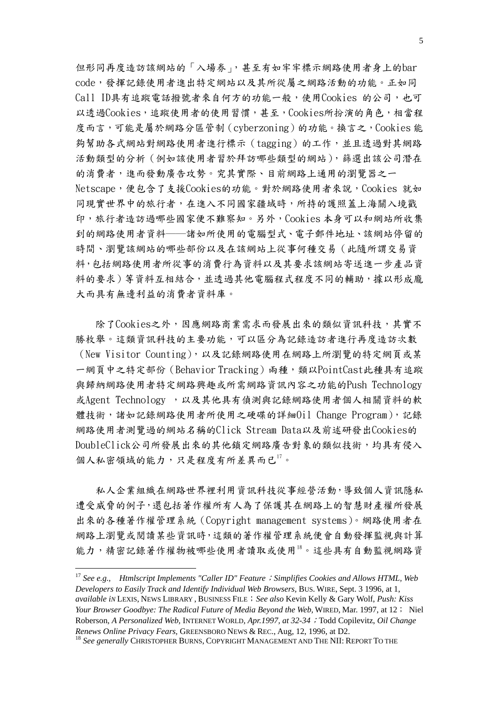但形同再度造訪該網站的「入場券」,甚至有如牢牢標示網路使用者身上的bar code,發揮記錄使用者進出特定網站以及其所從屬之網路活動的功能。正如同 Call ID具有追蹤電話撥號者來自何方的功能一般,使用Cookies 的公司,也可 以透過Cookies,追蹤使用者的使用習慣,甚至,Cookies所扮演的角色,相當程 度而言,可能是屬於網路分區管制(cyberzoning)的功能。換言之,Cookies 能 夠幫助各式網站對網路使用者進行標示(tagging)的工作,並且透過對其網路 活動類型的分析(例如該使用者習於拜訪哪些類型的網站),篩選出該公司潛在 的消費者,進而發動廣告攻勢。究其實際、目前網路上通用的瀏覽器之一 Netscape,便包含了支援Cookies的功能。對於網路使用者來說,Cookies 就如 同現實世界中的旅行者,在進入不同國家疆域時,所持的護照蓋上海關入境戳 印,旅行者造訪過哪些國家便不難察知。另外,Cookies 本身可以和網站所收集 到的網路使用者資料──諸如所使用的電腦型式、電子郵件地址、該網站停留的 時間、瀏覽該網站的哪些部份以及在該網站上從事何種交易(此隨所謂交易資 料,包括網路使用者所從事的消費行為資料以及其要求該網站寄送進一步產品資 料的要求)等資料互相結合,並透過其他電腦程式程度不同的輔助,據以形成龐 大而具有無邊利益的消費者資料庫。

 除了Cookies之外,因應網路商業需求而發展出來的類似資訊科技,其實不 勝枚舉。這類資訊科技的主要功能,可以區分為記錄造訪者進行再度造訪次數 (New Visitor Counting),以及記錄網路使用在網路上所瀏覽的特定網頁或某 一網頁中之特定部份(Behavior Tracking)兩種,類以PointCast此種具有追蹤 與歸納網路使用者特定網路興趣或所需網路資訊內容之功能的Push Technology 或Agent Technology , 以及其他具有偵測與記錄網路使用者個人相關資料的軟 體技術,諸如記錄網路使用者所使用之硬碟的詳細Oil Change Program),記錄 網路使用者測覽過的網站名稱的Click Stream Data以及前述研發出Cookies的 DoubleClick公司所發展出來的其他鎖定網路廣告對象的類似技術,均具有侵入 個人私密領域的能力,只是程度有所差異而已[17](#page-4-0)。

私人企業組織在網路世界裡利用資訊科技從事經營活動,導致個人資訊隱私 遭受威脅的例子,還包括著作權所有人為了保護其在網路上的智慧財產權所發展 出來的各種著作權管理系統(Copyright management systems)。網路使用者在 網路上瀏覽或閱讀某些資訊時,這類的著作權管理系統便會自動發揮監視與計算 能力,精密記錄著作權物被哪些使用者讀取或使用[18](#page-4-1)。這些具有自動監視網路資

<span id="page-4-0"></span><sup>&</sup>lt;sup>17</sup> See e.g., Htmlscript Implements "Caller ID" Feature *;* Simplifies Cookies and Allows HTML, Web *Developers to Easily Track and Identify Individual Web Browsers,* BUS. WIRE, Sept. 3 1996, at 1, *available iN* LEXIS, NEWS LIBRARY , BUSINESS FILE;*See also* Kevin Kelly & Gary Wolf, *Push: Kiss Your Browser Goodbye: The Radical Future of Media Beyond the Web,* WIRED, Mar. 1997, at 12; Niel Roberson, *A Personalized Web,* INTERNET WORLD*, Apr.1997, at 32-34*;Todd Copilevitz, *Oil Change Renews Online Privacy Fears, GREENSBORO NEWS & REC., Aug, 12, 1996, at D2.* 18 *See generally CHRISTOPHER BURNS, COPYRIGHT MANAGEMENT AND THE NII: REPORT TO THE* 

<span id="page-4-1"></span>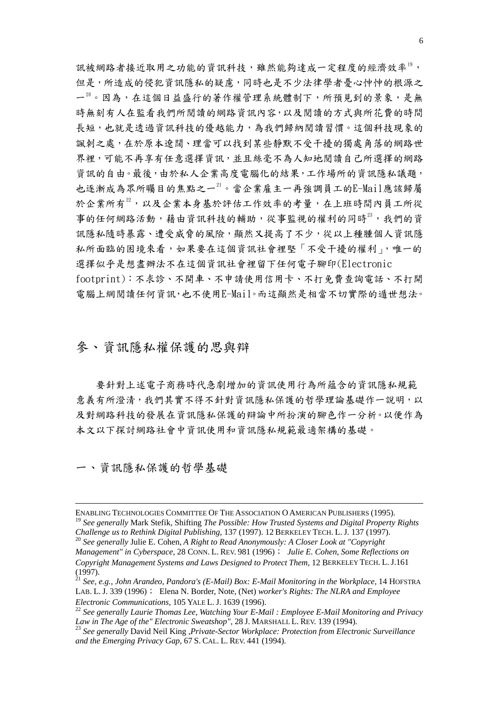訊被網路者接近取用之功能的資訊科技,雖然能夠達成一定程度的經濟效率[19](#page-5-0), 但是,所造成的侵犯資訊隱私的疑慮,同時也是不少法律學者憂心忡忡的根源之 一[20](#page-5-1)。因為,在這個日益盛行的著作權管理系統體制下,所預見到的景象,是無 時無刻有人在監看我們所閱讀的網路資訊內容,以及閱讀的方式與所花費的時間 長短,也就是透過資訊科技的優越能力,為我們歸納閱讀習慣。這個科技現象的 諷刺之處,在於原本遼闊、理當可以找到某些靜默不受干擾的獨處角落的網路世 界裡,可能不再享有任意選擇資訊,並且絲毫不為人知地閱讀自己所選擇的網路 資訊的自由。最後,由於私人企業高度電腦化的結果,工作場所的資訊隱私議題, 也逐漸成為眾所矚目的焦點之一[21](#page-5-2)。當企業雇主一再強調員工的E-Mail應該歸屬 於企業所有[22](#page-5-3),以及企業本身基於評估工作效率的考量,在上班時間內員工所從 事的任何網路活動,藉由資訊科技的輔助,從事監視的權利的同時[23](#page-5-4),我們的資 訊隱私隨時暴露、遭受威脅的風險,顯然又提高了不少,從以上種腫個人資訊隱 私所面臨的困境來看,如果要在這個資訊社會裡堅「不受干擾的權利」,唯一的 選擇似乎是想盡辦法不在這個資訊社會裡留下任何電子腳印(Electronic footprint):不求診、不開車、不申請使用信用卡、不打免費查詢電話、不打開

電腦上網閱讀任何資訊,也不使用E-Mail。而這顯然是相當不切實際的遁世想法。

#### 參、資訊隱私權保護的思與辯

 要針對上述電子商務時代急劇增加的資訊使用行為所蘊含的資訊隱私規範 意義有所澄清,我們其實不得不針對資訊隱私保護的哲學理論基礎作一說明,以 及對網路科技的發展在資訊隱私保護的辯論中所扮演的腳色作一分析。以便作為 本文以下探討網路社會中資訊使用和資訊隱私規範最適架構的基礎。

一、資訊隱私保護的哲學基礎

<span id="page-5-1"></span><span id="page-5-0"></span>*Challenge us to Rethink Digital Publishing,* 137 (1997). 12 BERKELEY TECH. L. J. 137 (1997). 20 *See generally* Julie E. Cohen, *A Right to Read Anonymously: A Closer Look at "Copyright Management" in Cyberspace,* 28 CONN. L. REV. 981 (1996); *Julie E. Cohen, Some Reflections on Copyright Management Systems and Laws Designed to Protect Them,* 12 BERKELEY TECH. L. J.161 (1997).

ENABLING TECHNOLOGIES COMMITTEE OF THE ASSOCIATION O AMERICAN PUBLISHERS (1995). <sup>19</sup> *See generally* Mark Stefik, Shifting *The Possible: How Trusted Systems and Digital Property Rights* 

<span id="page-5-2"></span><sup>21</sup> *See, e.g., John Arandeo, Pandora's (E-Mail) Box: E-Mail Monitoring in the Workplace,* 14 HOFSTRA LAB. L. J. 339 (1996); Elena N. Border, Note, (Net) *worker's Rights: The NLRA and Employee* 

<span id="page-5-3"></span>*Electronic Communications,* 105 YALE L. J. 1639 (1996).<br><sup>22</sup> *See generally Laurie Thomas Lee, Watching Your E-Mail : Employee E-Mail Monitoring and Privacy Law in The Age of the" Electronic Sweatshop", 28 J. MARSHALL L.* 

<span id="page-5-4"></span>*Law in The Age of the" Electronic Sweatshop",*<sup>28</sup> J. MARSHALL L. REV. 139 (1994). 23 *See generally* David Neil King ,*Private-Sector Workplace: Protection from Electronic Surveillance and the Emerging Privacy Gap,* 67 S. CAL. L. REV. 441 (1994).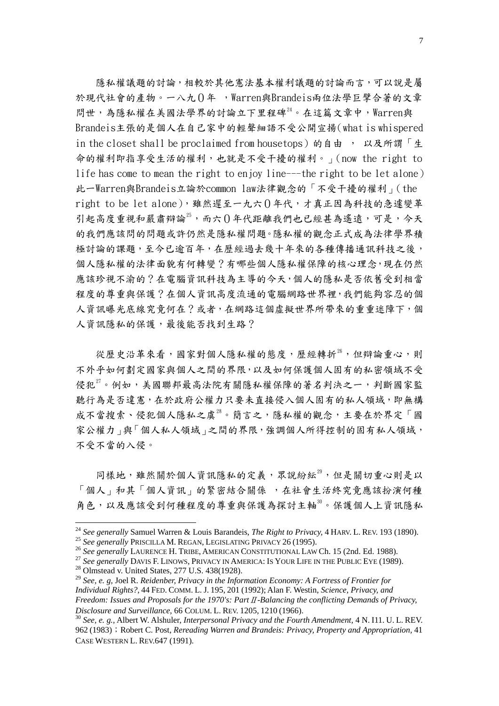隱私權議題的討論,相較於其他憲法基本權利議題的討論而言,可以說是屬 於現代社會的產物。一八九0年 ,Warren與Brandeis兩位法學巨擘合著的文章 問世,為隱私權在美國法學界的討論立下里程碑<sup>[24](#page-6-0)</sup>。在這篇文章中,Warren與 Brandeis主張的是個人在自己家中的輕聲細語不受公開宣揚(what is whispered in the closet shall be proclaimed from housetops)的自由, 以及所謂「生 命的權利即指享受生活的權利,也就是不受干擾的權利。」(now the right to life has come to mean the right to enjoy line---the right to be let alone) 此一Warren與Brandeis立論於common law法律觀念的「不受干擾的權利」(the right to be let alone),雖然遲至一九六 $0$ 年代,才真正因為科技的急遽變革 引起高度重視和嚴肅辯論<sup>[25](#page-6-1)</sup>,而六()年代距離我們也已經甚為遙遠,可是,今天 的我們應該問的問題或許仍然是隱私權問題。隱私權的觀念正式成為法律學界積 極討論的課題,至今已逾百年,在歷經過去幾十年來的各種傳播通訊科技之後, 個人隱私權的法律面貌有何轉變?有哪些個人隱私權保障的核心理念,現在仍然 應該珍視不渝的?在電腦資訊科技為主導的今天,個人的隱私是否依舊受到相當 程度的尊重與保護?在個人資訊高度流通的電腦網路世界裡,我們能夠容忍的個 人資訊曝光底線究竟何在?或者,在網路這個虛擬世界所帶來的重重迷障下,個 人資訊隱私的保護,最後能否找到生路?

從歷史沿革來看,國家對個人隱私權的態度,歷經轉折[26](#page-6-2),但辯論重心,則 不外乎如何劃定國家與個人之間的界限,以及如何保護個人固有的私密領域不受 侵犯 $^{27}$  $^{27}$  $^{27}$ 。例如,美國聯邦最高法院有關隱私權保障的著名判決之一,判斷國家監 聽行為是否違憲,在於政府公權力只要未直接侵入個人固有的私人領域,即無構 成不當搜索、侵犯個人隱私之虞<sup>[28](#page-6-4)</sup>。簡言之,隱私權的觀念,主要在於界定「國 家公權力」與「個人私人領域」之間的界限,強調個人所得控制的固有私人領域, 不受不當的入侵。

同樣地,雖然關於個人資訊隱私的定義,眾說紛紜[29](#page-6-5),但是關切重心則是以 「個人」和其「個人資訊」的緊密結合關係 ,在社會生活終究竟應該扮演何種 角色,以及應該受到何種程度的尊重與保護為探討主軸[30](#page-6-6)。保護個人上資訊隱私

<span id="page-6-1"></span><span id="page-6-0"></span><sup>&</sup>lt;sup>24</sup> See generally Samuel Warren & Louis Barandeis, *The Right to Privacy*, 4 HARV. L. REV. 193 (1890).<br><sup>25</sup> See generally PRISCILLA M. REGAN, LEGISLATING PRIVACY 26 (1995).<br><sup>26</sup> See generally LAURENCE H. TRIBE, AMERICAN

<span id="page-6-2"></span>

<span id="page-6-3"></span>

<span id="page-6-5"></span><span id="page-6-4"></span><sup>29</sup> *See, e. g,* Joel R. *Reidenber, Privacy in the Information Economy: A Fortress of Frontier for Individual Rights?*, 44 FED. COMM. L. J. 195, 201 (1992); Alan F. Westin, *Science, Privacy, and Freedom: Issues and Proposals for the 1970's: Part*Ⅱ*-Balancing the conflicting Demands of Privacy, Disclosure and Surveillance,* 66 COLUM. L. REV. 1205, <sup>1210</sup> (1966). 30 *See, e. g.,* Albert W. Alshuler, *Interpersonal Privacy and the Fourth Amendment,* 4 N. I11. U. L. REV.

<span id="page-6-6"></span><sup>962</sup> (1983);Robert C. Post, *Rereading Warren and Brandeis: Privacy, Property and Appropriation,* 41 CASE WESTERN L. REV.647 (1991).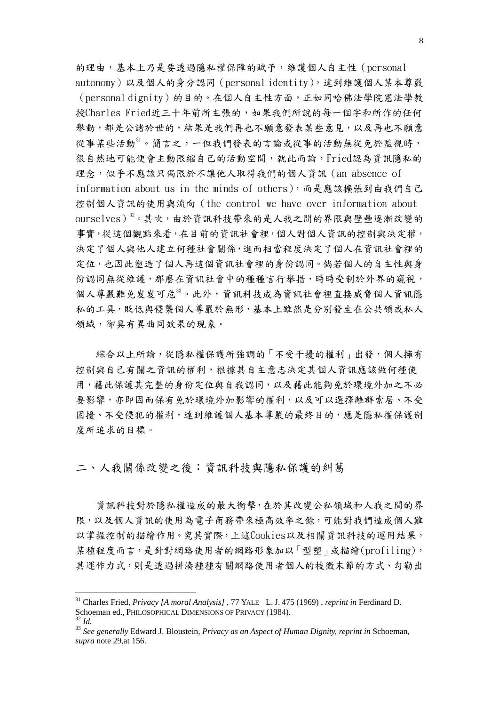的理由,基本上乃是要透過隱私權保障的賦予,維護個人自主性(personal autonomy)以及個人的身分認同(personal identity),達到維護個人某本尊嚴 (personal dignity)的目的。在個人自主性方面,正如同哈佛法學院憲法學教 授Charles Fried近三十年前所主張的,如果我們所說的每一個字和所作的任何 舉動,都是公諸於世的,結果是我們再也不願意發表某些意見,以及再也不願意 從事某些活動[31](#page-7-0)。簡言之,一但我們發表的言論或從事的活動無從免於監視時, 很自然地可能便會主動限縮自己的活動空間,就此而論,Fried認為資訊隱私的 理念,似乎不應該只侷限於不讓他人取得我們的個人資訊(an absence of information about us in the minds of others),而是應該擴張到由我們自己 控制個人資訊的使用與流向(the control we have over information about ourselves) 32。其次,由於資訊科技帶來的是人我之間的界限與壁壘逐漸改變的 事實,從這個觀點來看,在目前的資訊社會裡,個人對個人資訊的控制與決定權, 決定了個人與他人建立何種社會關係,進而相當程度決定了個人在資訊社會裡的 定位,也因此塑造了個人再這個資訊社會裡的身份認同。倘若個人的自主性與身 份認同無從維護,那麼在資訊社會中的種種言行舉措,時時受制於外界的窺視, 個人尊嚴難免岌岌可危[33](#page-7-2)。此外,資訊科技成為資訊社會裡直接威脅個人資訊隱 私的工具,貶低與侵襲個人尊嚴於無形,基本上雖然是分別發生在公共領或私人 領域,卻具有異曲同效果的現象。

綜合以上所論,從隱私權保護所強調的「不受干擾的權利」出發,個人擁有 控制與自己有關之資訊的權利,根據其自主意志決定其個人資訊應該做何種使 用,藉此保護其完整的身份定位與自我認同,以及藉此能夠免於環境外加之不必 要影響,亦即因而保有免於環境外加影響的權利,以及可以選擇離群索居、不受 困擾、不受侵犯的權利,達到維護個人基本尊嚴的最終目的,應是隱私權保護制 度所追求的目標。

二、人我關係改變之後:資訊科技與隱私保護的糾葛

 資訊科技對於隱私權造成的最大衝擊,在於其改變公私領域和人我之間的界 限,以及個人資訊的使用為電子商務帶來極高效率之餘,可能對我們造成個人難 以掌握控制的描繪作用。究其實際,上述Cookies以及相關資訊科技的運用結果, 某種程度而言,是針對網路使用者的網路形象加以「型塑」或描繪(profiling), 其運作力式,則是透過拼湊種種有關網路使用者個人的枝微末節的方式、勾勒出

<span id="page-7-0"></span><sup>31</sup> Charles Fried, *Privacy [A moral Analysis]* , 77 YALE L. J. 475 (1969) , *reprint in* Ferdinard D. Schoeman ed., PHILOSOPHICAL DIMENSIONS OF PRIVACY (1984).<br><sup>32</sup> *Id.* 33 *See generally* Edward J. Bloustein, *Privacy as an Aspect of Human Dignity, reprint in* Schoeman,

<span id="page-7-1"></span>

<span id="page-7-2"></span>*supra* note 29,at 156.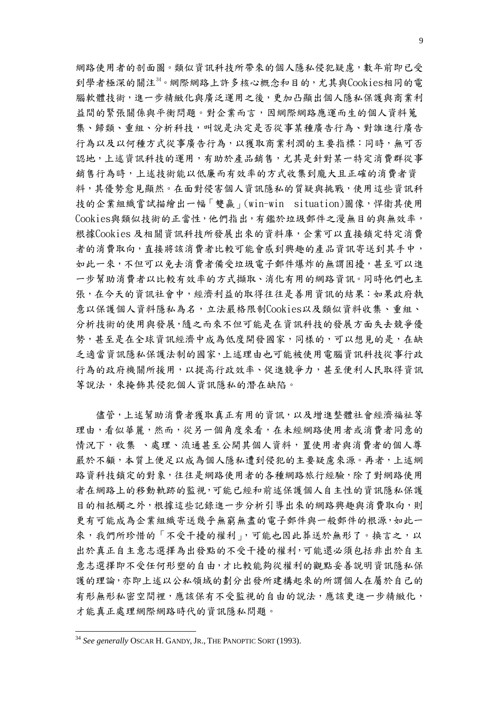網路使用者的剖面圖。類似資訊科技所帶來的個人隱私侵犯疑慮,數年前即已受 到學者極深的關注[34。](#page-8-0)網際網路上許多核心概念和目的,尤其與Cookies相同的電 腦軟體技術,進一步精緻化與廣泛運用之後,更加凸顯出個人隱私保護與商業利 益間的緊張關係與平衡問題。對企業而言,因網際網路應運而生的個人資料蒐 集、歸類、重組、分析科技,叫說是決定是否從事某種廣告行為、對誰進行廣告 行為以及以何種方式從事廣告行為,以獲取商業利潤的主要指標:同時,無可否 認地,上述資訊科技的運用,有助於產品銷售,尤其是針對某一特定消費群從事 銷售行為時,上述技術能以低廉而有效率的方式收集到龐大且正確的消費者資 料,其優勢愈見顯然。在面對侵害個人資訊隱私的質疑與挑戰,使用這些資訊科 技的企業組織嘗試描繪出一幅「雙贏」(win-win situation)圖像,悍衛其使用 Cookies與類似技術的正當性,他們指出,有鑑於垃圾郵件之漫無目的與無效率, 根據Cookies 及相關資訊科技所發展出來的資料庫,企業可以直接鎖定特定消費 者的消費取向,直接將該消費者比較可能會感到興趣的產品資訊寄送到其手中, 如此一來,不但可以免去消費者備受垃圾電子郵件爆炸的無謂困擾,甚至可以進 一步幫助消費者以比較有效率的方式擷取、消化有用的網路資訊。同時他們也主 張,在今天的資訊社會中,經濟利益的取得往往是善用資訊的結果:如果政府執 意以保護個人資料隱私為名,立法嚴格限制Cookies以及類似資料收集、重組、 分析技術的使用與發展,隨之而來不但可能是在資訊科技的發展方面失去競爭優 勢,甚至是在全球資訊經濟中成為低度開發國家,同樣的,可以想見的是,在缺 乏適當資訊隱私保護法制的國家,上述理由也可能被使用電腦資訊科技從事行政 行為的政府機關所援用,以提高行政效率、促進競爭力,甚至便利人民取得資訊 等說法,來掩飾其侵犯個人資訊隱私的潛在缺陷。

 儘管,上述幫助消費者獲取真正有用的資訊,以及增進整體社會經濟福祉等 理由,看似華麗,然而,從另一個角度來看,在未經網路使用者或消費者同意的 情況下,收集 、處理、流通甚至公開其個人資料,置使用者與消費者的個人尊 嚴於不顧,本質上便足以成為個人隱私遭到侵犯的主要疑慮來源。再者,上述網 路資科技鎖定的對象,往往是網路使用者的各種網路旅行經驗,除了對網路使用 者在網路上的移動軌跡的監視,可能已經和前述保護個人自主性的資訊隱私保護 目的相抵觸之外,根據這些記錄進一步分析引導出來的網路興趣與消費取向,則 更有可能成為企業組織寄送幾乎無窮無盡的電子郵件與一般郵件的根源,如此一 來,我們所珍惜的「不受干擾的權利」,可能也因此葬送於無形了。換言之,以 出於真正自主意志選擇為出發點的不受干擾的權利,可能還必須包括非出於自主 意志選擇即不受任何形塑的自由,才比較能夠從權利的觀點妥善說明資訊隱私保 護的理論,亦即上述以公私領域的劃分出發所建構起來的所謂個人在屬於自己的 有形無形私密空間裡,應該保有不受監視的自由的說法,應該更進一步精緻化, 才能真正處理網際網路時代的資訊隱私問題。

<span id="page-8-0"></span><sup>34</sup> *See generally* OSCAR H. GANDY, JR., THE PANOPTIC SORT (1993).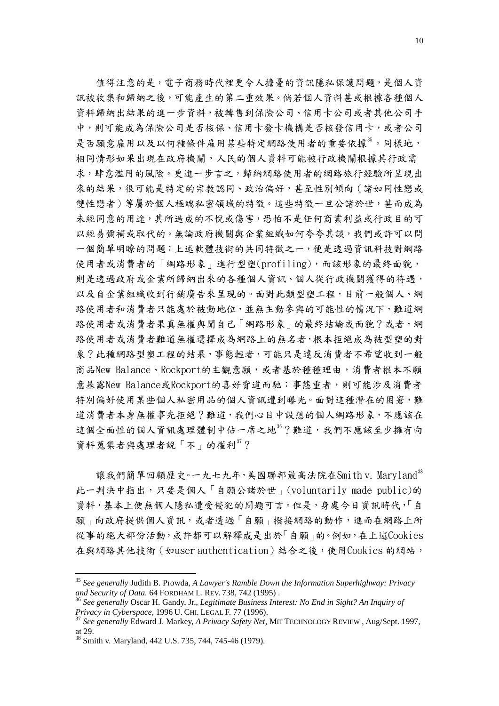值得注意的是,電子商務時代裡更令人擔憂的資訊隱私保護問題,是個人資 訊被收集和歸納之後,可能產生的第二重效果。倘若個人資料甚或根據各種個人 資料歸納出結果的進一步資料,被轉售到保險公司、信用卡公司或者其他公司手 中,則可能成為保險公司是否核保、信用卡發卡機構是否核發信用卡,或者公司 是否願意雇用以及以何種條件雇用某些特定網路使用者的重要依據[35](#page-9-0)。同樣地, 相同情形如果出現在政府機關,人民的個人資料可能被行政機關根據其行政需 求,肆意濫用的風險。更進一步言之,歸納網路使用者的網路旅行經驗所呈現出 來的結果,很可能是特定的宗教認同、政治偏好,甚至性別傾向(諸如同性戀或 雙性戀者)等屬於個人極端私密領域的特徵。這些特徵一旦公諸於世,甚而成為 未經同意的用途,其所造成的不悅或傷害,恐怕不是任何商業利益或行政目的可 以經易彌補或取代的。無論政府機關與企業組織如何夸夸其談,我們或許可以問 一個簡單明瞭的問題:上述軟體技術的共同特徵之一,便是透過資訊科技對網路 使用者或消費者的「網路形象」進行型塑(profiling),而該形象的最終面貌, 則是透過政府或企業所歸納出來的各種個人資訊、個人從行政機關獲得的待遇, 以及自企業組織收到行銷廣告來呈現的。面對此類型塑工程,目前一般個人、網 路使用者和消費者只能處於被動地位,並無主動參與的可能性的情況下,難道網 路使用者或消費者果真無權與聞自己「網路形象」的最終結論或面貌?或者,網 路使用者或消費者難道無權選擇成為網路上的無名者,根本拒絕成為被型塑的對 象?此種網路型塑工程的結果,事態輕者,可能只是違反消費者不希望收到一般 商品New Balance、Rockport的主觀意願,或者基於種種理由,消費者根本不願 意暴露New Balance或Rockport的喜好背道而馳:事態重者,則可能涉及消費者 特別偏好使用某些個人私密用品的個人資訊遭到曝光。面對這種潛在的困窘,難 道消費者本身無權事先拒絕?難道,我們心目中設想的個人網路形象,不應該在 這個全面性的個人資訊處理體制中佔一席之地[36](#page-9-1)?難道,我們不應該至少擁有向 資料蒐集者與處理者說「不」的權利[37](#page-9-2)?

讓我們簡單回顧歷史。一九七九年,美國聯邦最高法院在Smith v. Maryland<sup>[38](#page-9-3)</sup> 此一判決中指出,只要是個人「自願公諸於世」(voluntarily made public)的 資料, 基本上便無個人隱私遭受侵犯的問題可言。但是, 身處今日資訊時代, 「自 願」向政府提供個人資訊,或者透過「自願」撥接網路的動作,進而在網路上所 從事的絕大部份活動,或許都可以解釋成是出於「自願」的。例如,在上述Cookies 在與網路其他技術(如user authentication)結合之後,使用Cookies 的網站,

<span id="page-9-0"></span><sup>35</sup> *See generally* Judith B. Prowda, *A Lawyer's Ramble Down the Information Superhighway: Privacy* 

<span id="page-9-1"></span><sup>&</sup>lt;sup>36</sup> See generally Oscar H. Gandy, Jr., *Legitimate Business Interest: No End in Sight? An Inquiry of Privacy in Cyberspace,*<sup>1996</sup> U. CHI. LEGAL F. 77 (1996). 37 *See generally* Edward J. Markey, *A Privacy Safety Net,* MIT TECHNOLOGY REVIEW , Aug/Sept. 1997,

<span id="page-9-2"></span>at 29.

<span id="page-9-3"></span><sup>38</sup> Smith v. Maryland, 442 U.S. 735, 744, 745-46 (1979).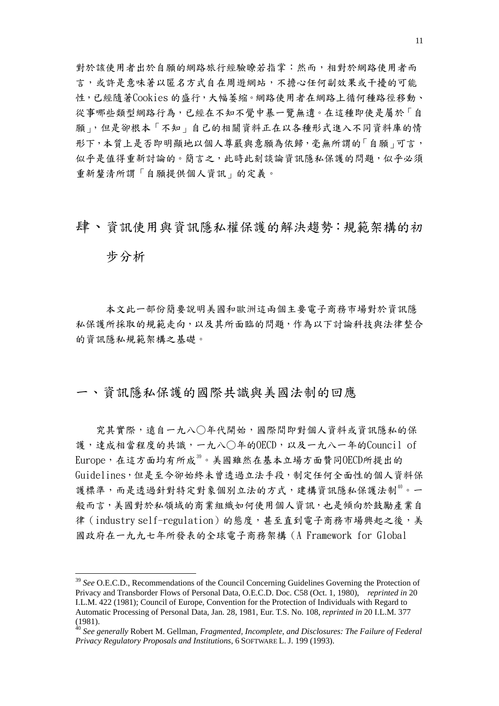對於該使用者出於自願的網路旅行經驗瞭若指掌:然而,相對於網路使用者而 言,或許是意味著以匿名方式自在周遊網站,不擔心任何副效果或干擾的可能 性,已經隨著Cookies 的盛行,大幅萎縮。網路使用者在網路上循何種路徑移動、 從事哪些類型網路行為,已經在不知不覺中暴一覽無遺。在這種即使是屬於「自 願」,但是卻根本「不知」自己的相關資料正在以各種形式進入不同資料庫的情 形下,本質上是否即明顯地以個人尊嚴與意願為依歸,毫無所謂的「自願」可言, 似乎是值得重新討論的。簡言之,此時此刻談論資訊隱私保護的問題,似乎必須 重新釐清所謂「自願提供個人資訊」的定義。

#### 肆、資訊使用與資訊隱私權保護的解決趨勢:規範架構的初

步分析

1

 本文此一部份簡要說明美國和歐洲這兩個主要電子商務市場對於資訊隱 私保護所採取的規範走向,以及其所面臨的問題,作為以下討論科技與法律整合 的資訊隱私規範架構之基礎。

一、資訊隱私保護的國際共識與美國法制的回應

 究其實際,遠自一九八○年代開始,國際間即對個人資料或資訊隱私的保 護,達成相當程度的共識,一九八〇年的OECD,以及一九八一年的Council of  $Europe$ , 在這方面均有所成 $39$ 。美國雖然在基本立場方面贊同OECD所提出的 Guidelines,但是至今卻始終未曾透過立法手段,制定任何全面性的個人資料保 護標準,而是透過針對特定對象個別立法的方式,建構資訊隱私保護法制<sup>[40](#page-10-1)</sup>。一 般而言,美國對於私領域的商業組織如何使用個人資訊,也是傾向於鼓勵產業自 律 (industry self-regulation)的態度,甚至直到電子商務市場興起之後,美 國政府在一九九七年所發表的全球電子商務架構(A Framework for Global

<span id="page-10-0"></span><sup>39</sup> *See* O.E.C.D., Recommendations of the Council Concerning Guidelines Governing the Protection of Privacy and Transborder Flows of Personal Data, O.E.C.D. Doc. C58 (Oct. 1, 1980), *reprinted in* 20 I.L.M. 422 (1981); Council of Europe, Convention for the Protection of Individuals with Regard to Automatic Processing of Personal Data, Jan. 28, 1981, Eur. T.S. No. 108, *reprinted in* 20 I.L.M. 377 (1981).

<span id="page-10-1"></span><sup>40</sup> *See generally* Robert M. Gellman, *Fragmented, Incomplete, and Disclosures: The Failure of Federal Privacy Regulatory Proposals and Institutions*, 6 SOFTWARE L. J. 199 (1993).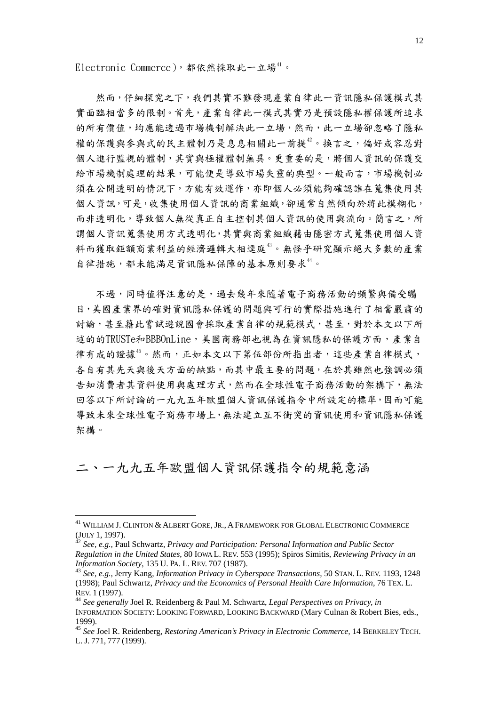Electronic Commerce),都依然採取此一立場<sup>[41](#page-11-0)</sup>。

然而,仔細探究之下,我們其實不難發現產業自律此一資訊隱私保護模式其 實面臨相當多的限制。首先,產業自律此一模式其實乃是預設隱私權保護所追求 的所有價值,均應能透過市場機制解決此一立場,然而,此一立場卻忽略了隱私 權的保護與參與式的民主體制乃是息息相關此一前提[42](#page-11-1)。換言之,偏好或容忍對 個人進行監視的體制,其實與極權體制無異。更重要的是,將個人資訊的保護交 給市場機制處理的結果,可能便是導致市場失靈的典型。一般而言,市場機制必 須在公開透明的情況下,方能有效運作,亦即個人必須能夠確認誰在蒐集使用其 個人資訊,可是,收集使用個人資訊的商業組織,卻通常自然傾向於將此模糊化, 而非透明化,導致個人無從真正自主控制其個人資訊的使用與流向。簡言之,所 謂個人資訊蒐集使用方式透明化,其實與商業組織藉由隱密方式蒐集使用個人資 料而獲取鉅額商業利益的經濟邏輯大相逕庭[43](#page-11-2)。無怪乎研究顯示絕大多數的產業 自律措施,都未能滿足資訊隱私保障的基本原則要求[44](#page-11-3)。

不過,同時值得注意的是,過去幾年來隨著電子商務活動的頻繁與備受矚 目,美國產業界的確對資訊隱私保護的問題與可行的實際措施進行了相當嚴肅的 討論,甚至藉此嘗試遊說國會採取產業自律的規範模式,甚至,對於本文以下所 述的的TRUSTe和BBBOnLine,美國商務部也視為在資訊隱私的保護方面,產業自 律有成的證據[45](#page-11-4)。然而,正如本文以下第伍部份所指出者,這些產業自律模式, 各自有其先天與後天方面的缺點,而其中最主要的問題,在於其雖然也強調必須 告知消費者其資料使用與處理方式,然而在全球性電子商務活動的架構下,無法 回答以下所討論的一九九五年歐盟個人資訊保護指令中所設定的標準,因而可能 導致未來全球性電子商務市場上,無法建立互不衝突的資訊使用和資訊隱私保護 架構。

二、一九九五年歐盟個人資訊保護指令的規範意涵

<u>.</u>

<span id="page-11-0"></span><sup>41</sup> WILLIAM J. CLINTON & ALBERT GORE, JR., A FRAMEWORK FOR GLOBAL ELECTRONIC COMMERCE (JULY 1, 1997). 42 *See, e.g.,* Paul Schwartz, *Privacy and Participation: Personal Information and Public Sector* 

<span id="page-11-1"></span>*Regulation in the United States*, 80 IOWA L. REV. 553 (1995); Spiros Simitis, *Reviewing Privacy in an* 

<span id="page-11-2"></span><sup>&</sup>lt;sup>43</sup> *See, e.g., Jerry Kang, Information Privacy in Cyberspace Transactions,* 50 STAN. L. REV. 1193, 1248 (1998); Paul Schwartz, *Privacy and the Economics of Personal Health Care Information,* 76 TEX. L. REV. <sup>1</sup> (1997). 44 *See generally* Joel R. Reidenberg & Paul M. Schwartz, *Legal Perspectives on Privacy, in*

<span id="page-11-3"></span>INFORMATION SOCIETY: LOOKING FORWARD, LOOKING BACKWARD (Mary Culnan & Robert Bies, eds., 1999).

<span id="page-11-4"></span><sup>45</sup> *See* Joel R. Reidenberg, *Restoring American's Privacy in Electronic Commerce,* 14 BERKELEY TECH. L. J. 771, 777 (1999).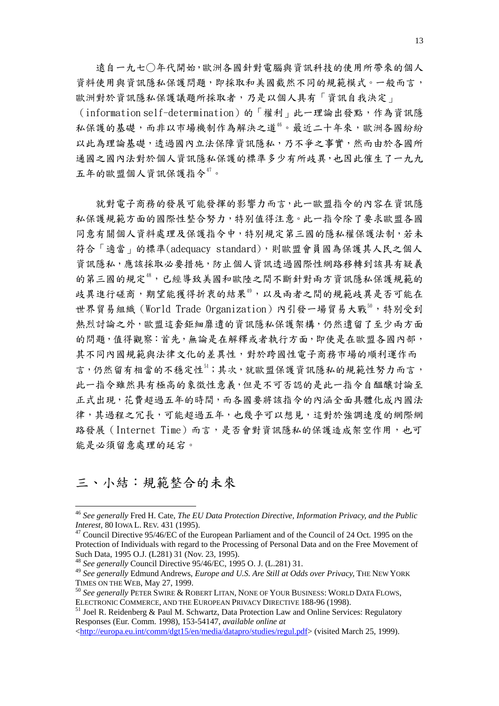遠自一九七○年代開始,歐洲各國針對電腦與資訊科技的使用所帶來的個人 資料使用與資訊隱私保護問題,即採取和美國截然不同的規範模式。一般而言, 歐洲對於資訊隱私保護議題所採取者,乃是以個人具有「資訊自我決定」

(information self-determination)的「權利」此一理論出發點,作為資訊隱 私保護的基礎,而非以市場機制作為解決之道"。最近二十年來,歐洲各國紛紛 以此為理論基礎,透過國內立法保障資訊隱私,乃不爭之事實,然而由於各國所 通國之國內法對於個人資訊隱私保護的標準多少有所歧異,也因此催生了一九九 五年的歐盟個人資訊保護指令[47](#page-12-1)。

 就對電子商務的發展可能發揮的影響力而言,此一歐盟指令的內容在資訊隱 私保護規範方面的國際性整合努力,特別值得注意。此一指令除了要求歐盟各國 同意有關個人資料處理及保護指令中,特別規定第三國的隱私權保護法制,若未 符合「適當」的標準(adequacy standard),則歐盟會員國為保護其人民之個人 資訊隱私,應該採取必要措施,防止個人資訊透過國際性網路移轉到該具有疑義 的第三國的規定[48](#page-12-2),已經導致美國和歐陸之間不斷針對兩方資訊隱私保護規範的 歧異進行磋商,期望能獲得折衷的結果[49](#page-12-3),以及兩者之間的規範歧異是否可能在 世界貿易組織 (World Trade Organization)內引發一場貿易大戰<sup>[50](#page-12-4)</sup>,特別受到 熱烈討論之外,歐盟這套鉅細靡遺的資訊隱私保護架構,仍然遺留了至少兩方面 的問題,值得觀察:首先,無論是在解釋或者執行方面,即使是在歐盟各國內部, 其不同內國規範與法律文化的差異性,對於跨國性電子商務市場的順利運作而 言,仍然留有相當的不穩定性。其次,就歐盟保護資訊隱私的規範性努力而言, 此一指令雖然具有極高的象徵性意義,但是不可否認的是此一指令自醞釀討論至 正式出現,花費超過五年的時間,而各國要將該指令的內涵全面具體化成內國法 律,其過程之冗長,可能超過五年,也幾乎可以想見,這對於強調速度的網際網 路發展(Internet Time)而言,是否會對資訊隱私的保護造成架空作用,也可 能是必須留意處理的延宕。

#### 三、小結:規範整合的未來

<span id="page-12-0"></span><sup>46</sup> *See generally* Fred H. Cate, *The EU Data Protection Directive, Information Privacy, and the Public Interest,* 80 IOWA L. REV. 431 (1995).<br><sup>47</sup> Council Directive 95/46/EC of the European Parliament and of the Council of 24 Oct. 1995 on the

<span id="page-12-1"></span>Protection of Individuals with regard to the Processing of Personal Data and on the Free Movement of Such Data, 1995 O.J. (L281) 31 (Nov. 23, 1995).

<sup>48</sup> *See generally* Council Directive 95/46/EC, 1995 O. J. (L.281) 31.

<span id="page-12-3"></span><span id="page-12-2"></span><sup>49</sup> *See generally* Edmund Andrews, *Europe and U.S. Are Still at Odds over Privacy,* THE NEW YORK

<span id="page-12-4"></span><sup>&</sup>lt;sup>50</sup> See generally PETER SWIRE & ROBERT LITAN, NONE OF YOUR BUSINESS: WORLD DATA FLOWS, ELECTRONIC COMMERCE, AND THE EUROPEAN PRIVACY DIRECTIVE 188-96 (1998).<br><sup>51</sup> Joel R. Reidenberg & Paul M. Schwartz, Data Protection Law and Online Services: Regulatory

<span id="page-12-5"></span>Responses (Eur. Comm. 1998), 153-54147, *available online at* 

<sup>&</sup>lt;<http://europa.eu.int/comm/dgt15/en/media/datapro/studies/regul.pdf>> (visited March 25, 1999).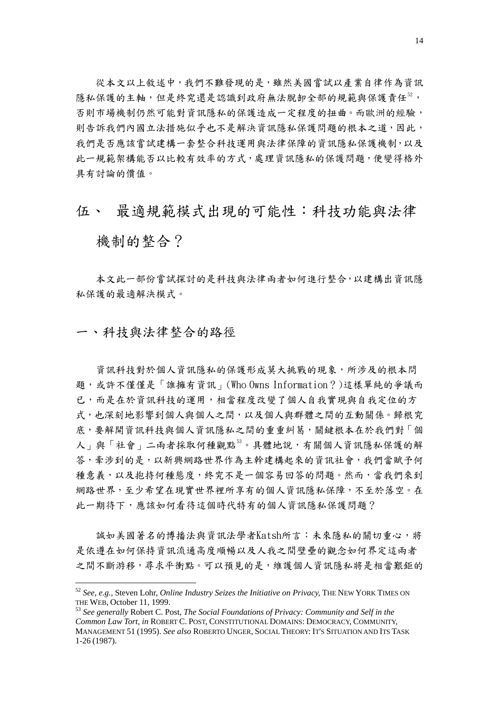從本文以上敘述中,我們不難發現的是,雖然美國嘗試以產業自律作為資訊 隱私保護的主軸,但是終究還是認識到政府無法脫卸全部的規範與保護責任<sup>[52](#page-13-0)</sup>, 否則市場機制仍然可能對資訊隱私的保護造成一定程度的扭曲。而歐洲的經驗, 則告訴我們內國立法措施似乎也不是解決資訊隱私保護問題的根本之道,因此, 我們是否應該嘗試建構一套整合科技運用與法律保障的資訊隱私保護機制,以及 此一規範架構能否以比較有效率的方式,處理資訊隱私的保護問題,便變得格外 具有討論的價值。

### 伍、 最滴規範模式出現的可能性:科技功能與法律

## 機制的整合?

 本文此一部份嘗試探討的是科技與法律兩者如何進行整合,以建構出資訊隱 私保護的最適解決模式。

#### 一、科技與法律整合的路徑

1

 資訊科技對於個人資訊隱私的保護形成莫大挑戰的現象,所涉及的根本問 題,或許不僅僅是「誰擁有資訊」(Who Owns Information?)這樣單純的爭議而 已,而是在於資訊科技的運用,相當程度改變了個人自我實現與自我定位的方 式,也深刻地影響到個人與個人之間,以及個人與群體之間的互動關係。歸根究 底,要解開資訊科技與個人資訊隱私之間的重重糾葛,關鍵根本在於我們對「個 人」與「社會」二兩者採取何種觀點33。具體地說,有關個人資訊隱私保護的解 答,牽涉到的是,以新興網路世界作為主幹建構起來的資訊社會,我們當賦予何 種意義,以及抱持何種態度,終究不是一個容易回答的問題。然而,當我們來到 網路世界,至少希望在現實世界裡所享有的個人資訊隱私保障,不至於落空。在 此一期待下,應該如何看待這個時代特有的個人資訊隱私保護問題?

 誠如美國著名的博播法與資訊法學者Katsh所言:未來隱私的關切重心,將 是依遵在如何保持資訊流通高度順暢以及人我之間壁壘的觀念如何界定這兩者 之間不斷游移,尋求平衝點。可以預見的是,維護個人資訊隱私將是相當艱鉅的

<span id="page-13-0"></span><sup>52</sup> *See, e.g.,* Steven Lohr, *Online Industry Seizes the Initiative on Privacy,* THE NEW YORK TIMES ON THE WEB, October 11, 1999.<br><sup>53</sup> *See generally* Robert C. Post, *The Social Foundations of Privacy: Community and Self in the* 

<span id="page-13-1"></span>*Common Law Tort, in* ROBERT C. POST, CONSTITUTIONAL DOMAINS: DEMOCRACY, COMMUNITY, MANAGEMENT 51 (1995). *See also* ROBERTO UNGER, SOCIAL THEORY: IT'S SITUATION AND ITS TASK 1-26 (1987).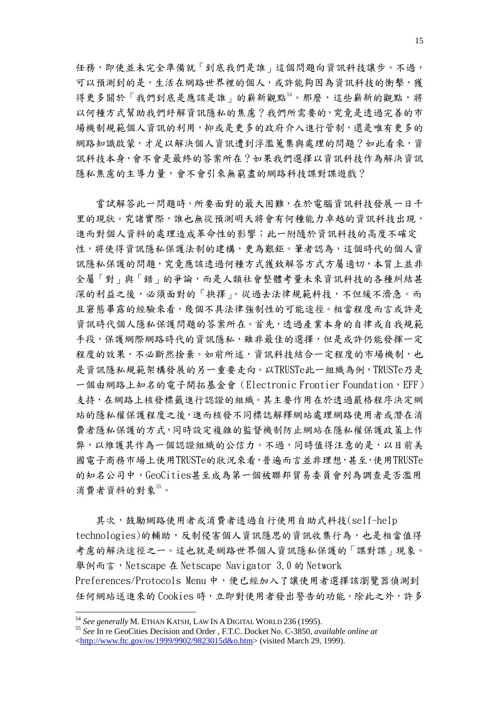任務,即使並未完全準備就「到底我們是誰」這個問題向資訊科技讓步。不過, 可以預測到的是,生活在網路世界裡的個人,或許能夠因為資訊科技的衝擊,獲 得更多關於「我們到底是應該是誰」的嶄新觀點<sup>[54](#page-14-0)</sup>。那麼,這些嶄新的觀點,將 以何種方式幫助我們紓解資訊隱私的焦慮?我們所需要的,究竟是透過完善的市 場機制規範個人資訊的利用,抑或是更多的政府介入進行管制,還是唯有更多的 網路知識啟蒙,才足以解決個人資訊遭到浮濫蒐集與處理的問題?如此看來,資 訊科技本身,會不會是最終的答案所在?如果我們選擇以資訊科技作為解決資訊 隱私焦慮的主導力量,會不會引來無窮盡的網路科技諜對諜遊戲?

當試解答此一問題時,所要面對的最大困難,在於電腦資訊科技發展一日千 里的現狀。究諸實際,誰也無從預測明天將會有何種能力卓越的資訊科技出現, 進而對個人資料的處理造成革命性的影響;此一附隨於資訊科技的高度不確定 性,將使得資訊隱私保護法制的建構,更為艱鉅。筆者認為,這個時代的個人資 訊隱私保護的問題,究竟應該透過何種方式獲致解答方式方屬適切,本質上並非 全屬「對」與「錯」的爭論,而是人類社會整體考量未來資訊科技的各種糾結甚 深的利益之後,必須面對的「抉擇」。從過去法律規範科技,不但緩不濟急。而 且窘態畢露的經驗來看,幾個不具法律強制性的可能途徑。相當程度而言或許是 資訊時代個人隱私保護問題的答案所在。首先,透過產業本身的自律或自我規範 手段,保護網際網路時代的資訊隱私,雖非最佳的選擇,但是或許仍能發揮一定 程度的效果,不必斷然捨棄。如前所述,資訊科技結合一定程度的市場機制,也 是資訊隱私規範架構發展的另一重要走向。以TRUSTe此一組織為例,TRUSTe乃是 一個由網路上知名的電子開拓基金會(Electronic Frontier Foundation,EFF) 支持,在網路上核發標籤進行認證的組織。其主要作用在於透過嚴格程序決定網 站的隱私權保護程度之後,進而核發不同標誌解釋網站處理網路使用者或潛在消 費者隱私保護的方式,同時設定複雜的監督機制防止網站在隱私權保護政策上作 弊,以維護其作為一個認證組織的公信力。不過,同時值得注意的是,以目前美 國電子商務市場上使用TRUSTe的狀況來看,普遍而言並非理想,甚至,使用TRUSTe 的知名公司中,GeoCities甚至成為第一個被聯邦貿易委員會列為調查是否濫用 消費者資料的對象[55](#page-14-1)。

 其次,鼓勵網路使用者或消費者透過自行使用自助式科技(self-help technologies)的輔助,反制侵害個人資訊隱思的資訊收集行為,也是相當值得 考慮的解決途徑之一。這也就是網路世界個人資訊隱私保護的「諜對諜」現象。 舉例而言,Netscape 在 Netscape Navigator 3.0 的 Network Preferences/Protocols Menu 中,便已經加入了讓使用者選擇該瀏覽器偵測到 任何網站送進來的 Cookies 時,立即對使用者發出警告的功能。除此之外,許多

<span id="page-14-1"></span><span id="page-14-0"></span><sup>54</sup> *See generally* M. ETHAN KATSH, LAW IN A DIGITAL WORLD 236 (1995). 55 *See* In re GeoCities Decision and Order , F.T.C. Docket No. C-3850, *available online at* <[http://www.ftc.gov/os/1999/9902/9823015d&o.htm>](http://www.ftc.gov/os/1999/9902/9823015d&o.htm) (visited March 29, 1999).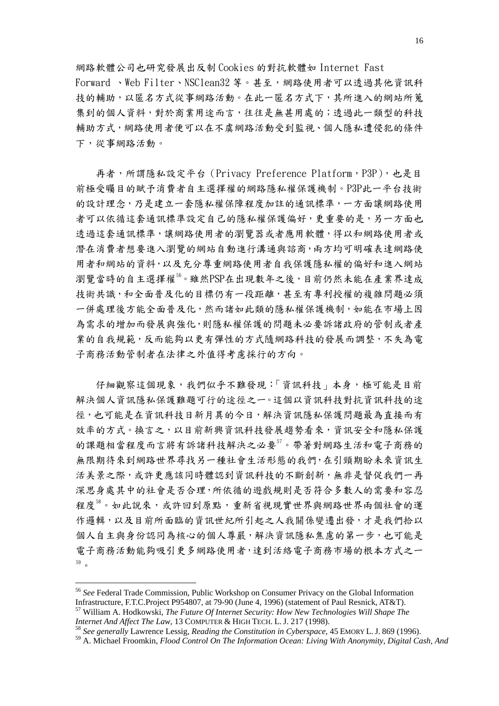網路軟體公司也研究發展出反制 Cookies 的對抗軟體如 Internet Fast Forward 、Web Filter、NSClean32 等。甚至,網路使用者可以透過其他資訊科 技的輔助,以匿名方式從事網路活動。在此一匿名方式下,其所進入的網站所蒐 集到的個人資料,對於商業用途而言,往往是無甚用處的;透過此一類型的科技 輔助方式,網路使用者便可以在不虞網路活動受到監視、個人隱私遭侵犯的條件 下,從事網路活動。

再者,所謂隱私設定平台 (Privacy Preference Platform, P3P), 也是目 前極受矚目的賦予消費者自主選擇權的網路隱私權保護機制。P3P此一平台技術 的設計理念,乃是建立一套隱私權保障程度加註的通訊標準,一方面讓網路使用 者可以依循這套通訊標準設定自己的隱私權保護偏好,更重要的是,另一方面也 透過這套通訊標準,讓網路使用者的瀏覽器或者應用軟體,得以和網路使用者或 潛在消費者想要進入瀏覽的網站自動進行溝通與諮商,兩方均可明確表達網路使 用者和網站的資料,以及充分尊重網路使用者自我保護隱私權的偏好和進入網站 瀏覽當時的自主選擇權[56。](#page-15-0)雖然PSP在出現數年之後,目前仍然未能在產業界達成 技術共識,和全面普及化的目標仍有一段距離,甚至有專利授權的複雜問題必須 一併處理後方能全面普及化,然而諸如此類的隱私權保護機制,如能在市場上因 為需求的增加而發展與強化,則隱私權保護的問題未必要訴諸政府的管制或者產 業的自我規範,反而能夠以更有彈性的方式隨網路科技的發展而調整,不失為電 子商務活動管制者在法律之外值得考慮採行的方向。

仔細觀察這個現象,我們似乎不難發現:「資訊科技」本身,極可能是目前 解決個人資訊隱私保護難題可行的途徑之一。這個以資訊科技對抗資訊科技的途 徑,也可能是在資訊科技日新月異的今日,解決資訊隱私保護問題最為直接而有 效率的方式。換言之,以目前新興資訊科技發展趨勢看來,資訊安全和隱私保護 的課題相當程度而言將有訴諸科技解決之必要『。帶著對網路生活和電子商務的 無限期待來到網路世界尋找另一種社會生活形態的我們,在引頸期盼未來資訊生 活美景之際,或許更應該同時體認到資訊科技的不斷創新,無非是督促我們一再 深思身處其中的社會是否合理,所依循的遊戲規則是否符合多數人的需要和容忍 程度38。如此說來,或許回到原點,重新省視現實世界與網路世界兩個社會的運 作邏輯,以及目前所面臨的資訊世紀所引起之人我關係變遷出發,才是我們拾以 個人自主與身份認同為核心的個人尊嚴,解決資訊隱私焦慮的第一步,也可能是 電子商務活動能夠吸引更多網路使用者,達到活絡電子商務市場的根本方式之一 [59](#page-15-3) 。

<span id="page-15-0"></span><sup>56</sup> *See* Federal Trade Commission, Public Workshop on Consumer Privacy on the Global Information Infrastructure, F.T.C.Project P954807, at 79-90 (June 4, 1996) (statement of Paul Resnick, AT&T). 57 William A. Hodkowski, *The Future Of Internet Security: How New Technologies Will Shape The* 

<span id="page-15-1"></span>*Internet And Affect The Law*, 13 COMPUTER & HIGH TECH. L. J. 217 (1998).<br><sup>58</sup> *See generally* Lawrence Lessig, *Reading the Constitution in Cyberspace,* 45 EMORY L. J. 869 (1996).

<span id="page-15-3"></span><span id="page-15-2"></span><sup>59</sup> A. Michael Froomkin, *Flood Control On The Information Ocean: Living With Anonymity, Digital Cash, And*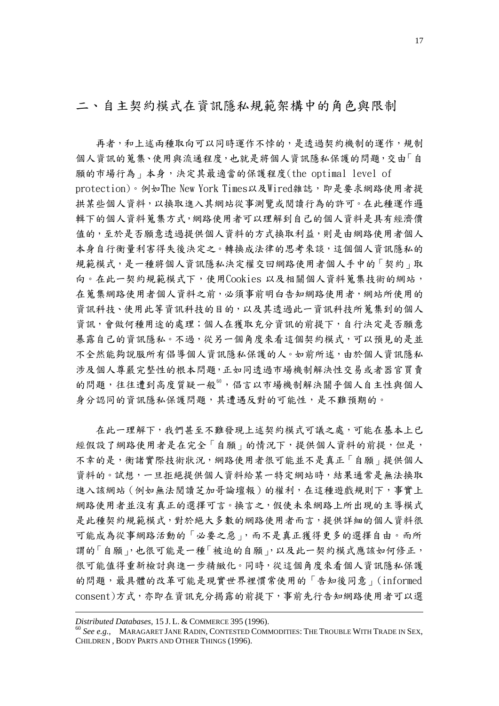### 二、自主契約模式在資訊隱私規範架構中的角色與限制

 再者,和上述兩種取向可以同時運作不悖的,是透過契約機制的運作,規制 個人資訊的蒐集、使用與流通程度,也就是將個人資訊隱私保護的問題,交由「自 願的市場行為」本身,決定其最適當的保護程度(the optimal level of protection)。例如The New York Times以及Wired雜誌,即是要求網路使用者提 拱某些個人資料,以換取進入其網站從事測覽或閱讀行為的許可。在此種運作邏 輯下的個人資料蒐集方式,網路使用者可以理解到自己的個人資料是具有經濟價 值的,至於是否願意透過提供個人資料的方式換取利益,則是由網路使用者個人 本身自行衡量利害得失後決定之。轉換成法律的思考來談,這個個人資訊隱私的 規範模式,是一種將個人資訊隱私決定權交回網路使用者個人手中的「契約」取 向。在此一契約規範模式下,使用Cookies 以及相關個人資料蒐集技術的網站, 在蒐集網路使用者個人資料之前,必須事前明白告知網路使用者,網站所使用的 資訊科技、使用此等資訊科技的目的,以及其透過此一資訊科技所蒐集到的個人 資訊,會做何種用途的處理;個人在獲取充分資訊的前提下,自行決定是否願意 暴露自己的資訊隱私。不過,從另一個角度來看這個契約模式,可以預見的是並 不全然能夠說服所有倡導個人資訊隱私保護的人。如前所述,由於個人資訊隱私 涉及個人尊嚴完整性的根本問題,正如同透過市場機制解決性交易或者器官買賣 的問題,往往遭到高度質疑一般<sup>[60](#page-16-0)</sup>,倡言以市場機制解決關乎個人自主性與個人 身分認同的資訊隱私保護問題,其遭遇反對的可能性,是不難預期的。

在此一理解下,我們甚至不難發現上述契約模式可議之處,可能在基本上已 經假設了網路使用者是在完全「自願」的情況下,提供個人資料的前提,但是, 不幸的是,衡諸實際技術狀況,網路使用者很可能並不是真正「自願」提供個人 資料的。試想,一旦拒絕提供個人資料給某一特定網站時,結果通常是無法換取 進入該網站 (例如無法閱讀芝加哥論壇報)的權利, 在這種遊戲規則下, 事實上 網路使用者並沒有真正的選擇可言。換言之,假使未來網路上所出現的主導模式 是此種契約規範模式,對於絕大多數的網路使用者而言,提供詳細的個人資料很 可能成為從事網路活動的「必要之惡」,而不是真正獲得更多的選擇自由。而所 謂的「自願」,也很可能是一種「被迫的自願」,以及此一契約模式應該如何修正, 很可能值得重新檢討與進一步精緻化。同時,從這個角度來看個人資訊隱私保護 的問題,最具體的改革可能是現實世界裡慣常使用的「告知後同意」(informed consent)方式,亦即在資訊充分揭露的前提下,事前先行告知網路使用者可以選

<span id="page-16-0"></span>*Distributed Databases,* 15 J. L. & COMMERCE 395 (1996).<br><sup>60</sup> *See e.g.,* MARAGARET JANE RADIN, CONTESTED COMMODITIES: THE TROUBLE WITH TRADE IN SEX, CHILDREN , BODY PARTS AND OTHER THINGS (1996).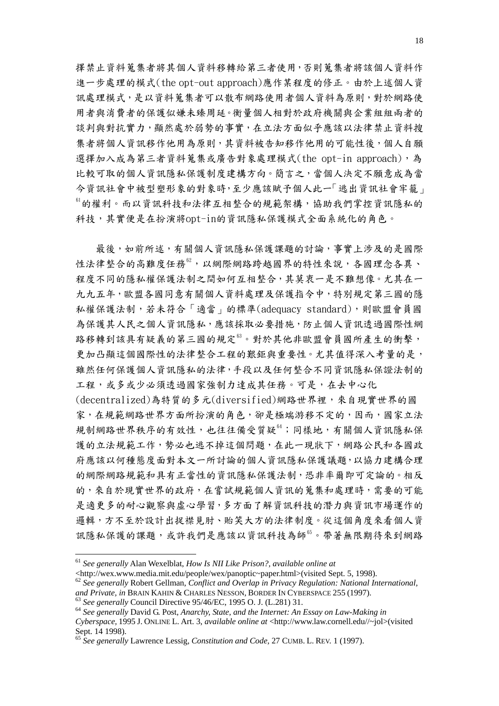擇禁止資料蒐集者將其個人資料移轉給第三者使用,否則蒐集者將該個人資料作 進一步處理的模式(the opt-out approach)應作某程度的修正。由於上述個人資 訊處理模式,是以資料蒐集者可以散布網路使用者個人資料為原則,對於網路使 用者與消費者的保護似嫌未臻周延。衡量個人相對於政府機關與企業組組兩者的 談判與對抗實力,顯然處於弱勢的事實,在立法方面似乎應該以法律禁止資料搜 集者將個人資訊移作他用為原則,其資料被告知移作他用的可能性後,個人自願 選擇加入成為第三者資料蒐集或廣告對象處理模式(the opt-in approach),為 比較可取的個人資訊隱私保護制度建構方向。簡言之,當個人決定不願意成為當 今資訊社會中被型塑形象的對象時,至少應該賦予個人此一「逃出資訊社會牢籠」 [61](#page-17-0)的權利。而以資訊科技和法律互相整合的規範架構,協助我們掌控資訊隱私的 科技,其實便是在扮演將opt-in的資訊隱私保護模式全面系統化的角色。

最後,如前所述,有關個人資訊隱私保護課題的討論,事實上涉及的是國際 性法律整合的高難度任務<sup>[62](#page-17-1),</sup>以網際網路跨越國界的特性來說,各國理念各異、 程度不同的隱私權保護法制之間如何互相整合,其莫衷一是不難想像。尤其在一 九九五年,歐盟各國同意有關個人資料處理及保護指令中,特別規定第三國的隱 私權保護法制,若未符合「適當」的標準(adequacy standard),則歐盟會員國 為保護其人民之個人資訊隱私,應該採取必要措施,防止個人資訊透過國際性網 路移轉到該具有疑義的第三國的規定<sup>[63](#page-17-2)</sup>。對於其他非歐盟會員國所產生的衝擊, 更加凸顯這個國際性的法律整合工程的艱鉅與重要性。尤其值得深入考量的是, 雖然任何保護個人資訊隱私的法律,手段以及任何整合不同資訊隱私保證法制的 工程,或多或少必須透過國家強制力達成其任務。可是,在去中心化 (decentralized)為特質的多元(diversified)網路世界裡,來自現實世界的國 家,在規範網路世界方面所扮演的角色,卻是極端游移不定的,因而,國家立法 規制網路世界秩序的有效性,也往往備受質疑<sup>[64](#page-17-3)</sup>;同樣地,有關個人資訊隱私保 護的立法規範工作,勢必也逃不掉這個問題,在此一現狀下,網路公民和各國政 府應該以何種態度面對本文一所討論的個人資訊隱私保護議題,以協力建構合理 的網際網路規範和具有正當性的資訊隱私保護法制,恐非率爾即可定論的。相反 的,來自於現實世界的政府,在嘗試規範個人資訊的蒐集和處理時,需要的可能 是適更多的耐心觀察與虛心學習,多方面了解資訊科技的潛力與資訊市場運作的 邏輯,方不至於設計出捉襟見肘、貽笑大方的法律制度。從這個角度來看個人資 訊隱私保護的課題,或許我們是應該以資訊科技為師[65](#page-17-4)。帶著無限期待來到網路

<span id="page-17-0"></span><sup>61</sup> *See generally* Alan Wexelblat, *How Is NII Like Prison?, available online at*

<sup>&</sup>lt;http://wex.www.media.mit.edu/people/wex/panoptic~paper.html>(visited Sept. 5, 1998).

<span id="page-17-1"></span><sup>&</sup>lt;sup>62</sup> See generally Robert Gellman, *Conflict and Overlap in Privacy Regulation: National International, and Private, in BRAIN KAHIN & CHARLES NESSON, BORDER IN CYBERSPACE 255 (1997).* 

<span id="page-17-3"></span><span id="page-17-2"></span><sup>&</sup>lt;sup>63</sup> See generally Council Directive 95/46/EC, 1995 O. J. (L.281) 31.<br><sup>64</sup> See generally David G. Post. Anarchy. State, and the Internet: An Essay on Law-Making in *Cyberspace,* 1995 J. ONLINE L. Art. 3, *available online at* <http://www.law.cornell.edu//~jol>(visited Sept. 14 1998).

<span id="page-17-4"></span><sup>65</sup> *See generally* Lawrence Lessig, *Constitution and Code,* 27 CUMB. L. REV. 1 (1997).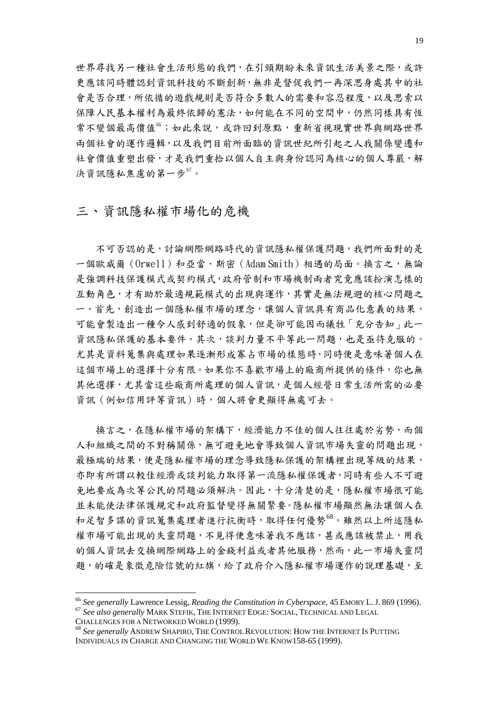世界尋找另一種社會生活形態的我們,在引頸期盼未來資訊生活美景之際,或許 更應該同時體認到資訊科技的不斷創新,無非是督促我們一再深思身處其中的社 會是否合理,所依循的遊戲規則是否符合多數人的需要和容忍程度,以及思索以 保障人民基本權利為最終依歸的憲法,如何能在不同的空間中,仍然同樣具有恆 常不變個最高價值[66](#page-18-0);如此來說,或許回到原點,重新省視現實世界與網路世界 兩個社會的運作邏輯,以及我們目前所面臨的資訊世紀所引起之人我關係變遷和 社會價值重塑出發,才是我們重拾以個人自主與身份認同為核心的個人尊嚴,解 決資訊隱私焦慮的第一步 $^{67}$  $^{67}$  $^{67}$ 。

## 三、資訊隱私權市場化的危機

不可否認的是,討論網際網路時代的資訊隱私權保護問題,我們所面對的是 一個歐威爾(Orwell)和亞當·斯密(Adam Smith)相遇的局面。換言之,無論 是強調科技保護模式或契約模式,政府管制和市場機制兩者究竟應該扮演怎樣的 互動角色,才有助於最適規範模式的出現與運作,其實是無法規避的核心問題之 一。首先,創造出一個隱私權市場的理念,讓個人資訊具有商品化意義的結果, 可能會製造出一種令人感到舒適的假象,但是卻可能因而犧牲「充分告知」此一 資訊隱私保護的基本要件。其次,談判力量不平等此一問題,也是亟待克服的。 尤其是資料蒐集與處理如果逐漸形成寡占市場的樣態時,同時便是意味著個人在 這個市場上的選擇十分有限。如果你不喜歡市場上的廠商所提供的條件,你也無 其他選擇,尤其當這些廠商所處理的個人資訊,是個人經營日常生活所需的必要 資訊(例如信用評等資訊)時,個人將會更顯得無處可去。

 換言之,在隱私權市場的架構下,經濟能力不佳的個人往往處於劣勢,而個 人和組織之間的不對稱關係,無可避免地會導致個人資訊市場失靈的問題出現, 最極端的結果,便是隱私權市場的理念導致隱私保護的架構裡出現等級的結果, 亦即有所謂以較佳經濟或談判能力取得第一流隱私權保護者,同時有些人不可避 免地要成為次等公民的問題必須解決。因此,十分清楚的是,隱私權市場很可能 並未能使法律保護規定和政府監督變得無關緊要。隱私權市場顯然無法讓個人在 和足智多謀的資訊蒐集處理者進行抗衡時,取得任何優勢[68](#page-18-2)。雖然以上所述隱私 權市場可能出現的失靈問題,不見得便意味著我不應該,甚或應該被禁止,用我 的個人資訊去交換網際網路上的金錢利益或者其他服務,然而,此一市場失靈問 題,的確是象徵危險信號的紅旗,給了政府介入隱私權市場運作的說理基礎,至

<span id="page-18-0"></span><sup>&</sup>lt;sup>66</sup> See generally Lawrence Lessig, *Reading the Constitution in Cyberspace*, 45 EMORY L. J. 869 (1996). <sup>67</sup> See also generally MARK STEFIK, THE INTERNET EDGE: SOCIAL, TECHNICAL AND LEGAL

<span id="page-18-2"></span><span id="page-18-1"></span>CHALLENGES FOR A NETWORKED WORLD (1999). 68 *See generally* ANDREW SHAPIRO, THE CONTROL REVOLUTION: HOW THE INTERNET IS PUTTING INDIVIDUALS IN CHARGE AND CHANGING THE WORLD WE KNOW158-65 (1999).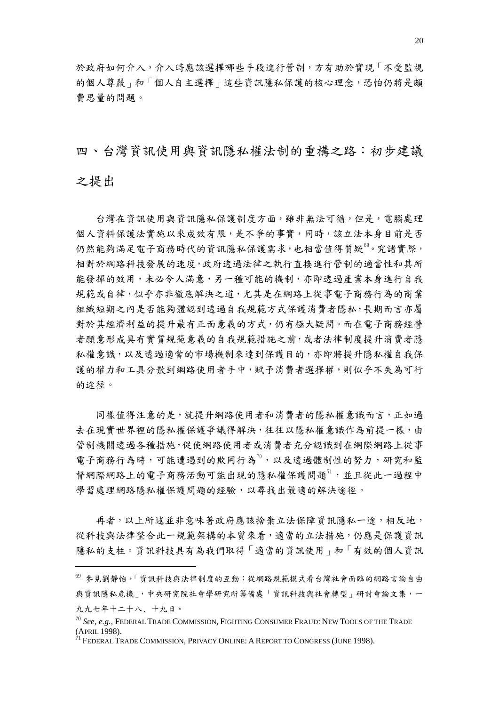於政府如何介入,介入時應該選擇哪些手段進行管制,方有助於實現「不受監視 的個人尊嚴」和「個人自主選擇」這些資訊隱私保護的核心理念,恐怕仍將是頗 費思量的問題。

四、台灣資訊使用與資訊隱私權法制的重構之路:初步建議

之提出

1

 台灣在資訊使用與資訊隱私保護制度方面,雖非無法可循,但是,電腦處理 個人資料保護法實施以來成效有限,是不爭的事實,同時,該立法本身目前是否 仍然能夠滿足電子商務時代的資訊隱私保護需求,也相當值得質疑<sup>80</sup>。究諸實際, 相對於網路科技發展的速度,政府透過法律之執行直接進行管制的適當性和其所 能發揮的效用,未必令人滿意,另一種可能的機制,亦即透過產業本身進行自我 規範或自律,似乎亦非徹底解決之道,尤其是在網路上從事電子商務行為的商業 組織短期之內是否能夠體認到透過自我規範方式保護消費者隱私,長期而言亦屬 對於其經濟利益的提升最有正面意義的方式,仍有極大疑問。而在電子商務經營 者願意形成具有實質規範意義的自我規範措施之前,或者法律制度提升消費者隱 私權意識,以及透過適當的市場機制來達到保護目的,亦即將提升隱私權自我保 護的權力和工具分散到網路使用者手中,賦予消費者選擇權,則似乎不失為可行 的途徑。

同樣值得注意的是,就提升網路使用者和消費者的隱私權意識而言,正如過 去在現實世界裡的隱私權保護爭議得解決,往往以隱私權意識作為前提一樣,由 管制機關透過各種措施,促使網路使用者或消費者充分認識到在網際網路上從事 電子商務行為時,可能遭遇到的欺罔行為<sup>[70](#page-19-1)</sup>,以及透過體制性的努力,研究和監 督網際網路上的電子商務活動可能出現的隱私權保護問題<sup>[71](#page-19-2)</sup>,並且從此一過程中 學習處理網路隱私權保護問題的經驗,以尋找出最適的解決途徑。

再者,以上所述並非意味著政府應該捨棄立法保障資訊隱私一途,相反地, 從科技與法律整合此一規範架構的本質來看,適當的立法措施,仍應是保護資訊 隱私的支柱。資訊科技具有為我們取得「適當的資訊使用」和「有效的個人資訊

<span id="page-19-0"></span><sup>69</sup> 參見劉靜怡,「資訊科技與法律制度的互動:從網路規範模式看台灣社會面臨的網路言論自由 與資訊隱私危機」,中央研究院社會學研究所籌備處「資訊科技與社會轉型」研討會論文集,一 九九七年十二十八、十九日。

<span id="page-19-1"></span><sup>70</sup> *See, e.g.,* FEDERAL TRADE COMMISSION, FIGHTING CONSUMER FRAUD: NEW TOOLS OF THE TRADE (APRIL 1998).<br><sup>71</sup> Federal Trade Commission. Privacy Online: A Report to Congress (June 1998).

<span id="page-19-2"></span>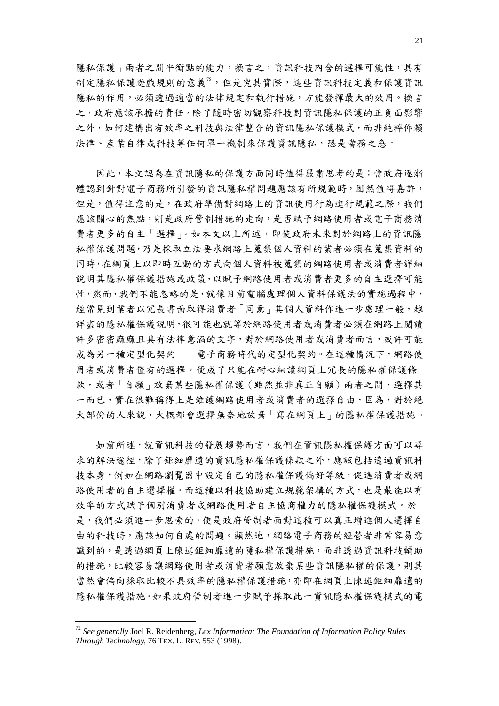隱私保護,兩者之間平衡點的能力,換言之,資訊科技內含的選擇可能性,具有 制定隱私保護遊戲規則的意義<sup>[72](#page-20-0)</sup>,但是究其實際,這些資訊科技定義和保護資訊 隱私的作用,必須透過適當的法律規定和執行措施,方能發揮最大的效用。換言 之,政府應該承擔的責任,除了隨時密切觀察科技對資訊隱私保護的正負面影響 之外,如何建構出有效率之科技與法律整合的資訊隱私保護模式,而非純粹仰賴 法律、產業自律或科技等任何單一機制來保護資訊隱私,恐是當務之急。

因此,本文認為在資訊隱私的保護方面同時值得嚴肅思考的是:當政府逐漸 體認到針對電子商務所引發的資訊隱私權問題應該有所規範時,固然值得嘉許, 但是,值得注意的是,在政府準備對網路上的資訊使用行為進行規範之際,我們 應該關心的焦點,則是政府管制措施的走向,是否賦予網路使用者或電子商務消 費者更多的自主「選擇」。如本文以上所述,即使政府未來對於網路上的資訊隱 私權保護問題,乃是採取立法要求網路上蒐集個人資料的業者必須在蒐集資料的 同時,在網頁上以即時互動的方式向個人資料被蒐集的網路使用者或消費者詳細 說明其隱私權保護措施或政策,以賦予網路使用者或消費者更多的自主選擇可能 性,然而,我們不能忽略的是,就像目前電腦處理個人資料保護法的實施過程中, 經常見到業者以冗長書面取得消費者「同意」其個人資料作進一步處理一般,越 詳盡的隱私權保護說明,很可能也就等於網路使用者或消費者必須在網路上閱讀 許多密密麻麻且具有法律意涵的文字,對於網路使用者或消費者而言,或許可能 成為另一種定型化契約----電子商務時代的定型化契約。在這種情況下,網路使 用者或消費者僅有的選擇,便成了只能在耐心細讀網頁上冗長的隱私權保護條 款,或者「自願」放棄某些隱私權保護(雖然並非真正自願)兩者之間,選擇其 一而已,實在很難稱得上是維護網路使用者或消費者的選擇自由,因為,對於絕 大部份的人來說,大概都會選擇無奈地放棄「寫在網頁上」的隱私權保護措施。

 如前所述,就資訊科技的發展趨勢而言,我們在資訊隱私權保護方面可以尋 求的解決途徑,除了鉅細靡遺的資訊隱私權保護條款之外,應該包括透過資訊科 技本身,例如在網路瀏覽器中設定自己的隱私權保護偏好等級,促進消費者或網 路使用者的自主選擇權。而這種以科技協助建立規範架構的方式,也是最能以有 效率的方式賦予個別消費者或網路使用者自主協商權力的隱私權保護模式。於 是,我們必須進一步思索的,便是政府管制者面對這種可以真正增進個人選擇自 由的科技時,應該如何自處的問題。顯然地,網路電子商務的經營者非常容易意 識到的,是透過網頁上陳述鉅細靡遺的隱私權保護措施,而非透過資訊科技輔助 的措施,比較容易讓網路使用者或消費者願意放棄某些資訊隱私權的保護,則其 當然會偏向採取比較不具效率的隱私權保護措施,亦即在網頁上陳述鉅細靡遺的 隱私權保護措施。如果政府管制者進一步賦予採取此一資訊隱私權保護模式的電

<span id="page-20-0"></span><sup>72</sup> *See generally* Joel R. Reidenberg, *Lex Informatica: The Foundation of Information Policy Rules Through Technology,* 76 TEX. L. REV. 553 (1998).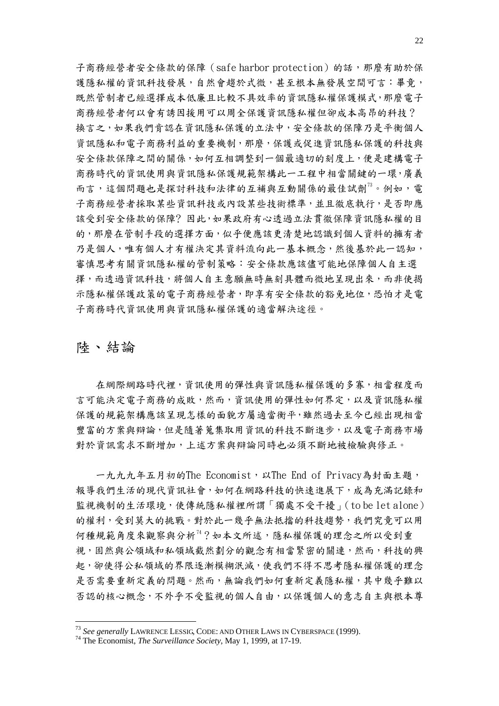子商務經營者安全條款的保障(safe harbor protection)的話,那麼有助於保 護隱私權的資訊科技發展,自然會趨於式微,甚至根本無發展空間可言:畢竟, 既然管制者已經選擇成本低廉且比較不具效率的資訊隱私權保護模式,那麼電子 商務經營者何以會有誘因援用可以周全保護資訊隱私權但卻成本高昂的科技? 換言之,如果我們肯認在資訊隱私保護的立法中,安全條款的保障乃是平衡個人 資訊隱私和電子商務利益的重要機制,那麼,保護或促進資訊隱私保護的科技與 安全條款保障之間的關係,如何互相調整到一個最適切的刻度上,便是建構電子 商務時代的資訊使用與資訊隱私保護規範架構此一工程中相當關鍵的一環,廣義 而言,這個問題也是探討科技和法律的互補與互動關係的最佳試劑<sup>[73](#page-21-0)</sup>。例如,電 子商務經營者採取某些資訊科技或內設某些技術標準,並且徹底執行,是否即應 該受到安全條款的保障?因此,如果政府有心透過立法貫徹保障資訊隱私權的目 的,那麼在管制手段的選擇方面,似乎便應該更清楚地認識到個人資料的擁有者 乃是個人,唯有個人才有權決定其資料流向此一基本概念,然後基於此一認知, 審慎思考有關資訊隱私權的管制策略:安全條款應該儘可能地保障個人自主選 擇,而透過資訊科技,將個人自主意願無時無刻具體而微地呈現出來,而非使揭 示隱私權保護政策的電子商務經營者,即享有安全條款的豁免地位,恐怕才是電 子商務時代資訊使用與資訊隱私權保護的適當解決途徑。

# 陸、結論

1

在網際網路時代裡,資訊使用的彈性與資訊隱私權保護的多寡,相當程度而 言可能決定電子商務的成敗,然而,資訊使用的彈性如何界定,以及資訊隱私權 保護的規範架構應該呈現怎樣的面貌方屬適當衡平,雖然過去至今已經出現相當 豐富的方案與辯論,但是隨著蒐集取用資訊的科技不斷進步,以及電子商務市場 對於資訊需求不斷增加,上述方案與辯論同時也必須不斷地被檢驗與修正。

一九九九年五月初的The Economist, 以The End of Privacy為封面主題, 報導我們生活的現代資訊社會,如何在網路科技的快速進展下,成為充滿記錄和 監視機制的生活環境,使傳統隱私權裡所謂「獨處不受干擾」(to be let alone) 的權利,受到莫大的挑戰。對於此一幾乎無法抵擋的科技趨勢,我們究竟可以用 何種規範角度來觀察與分析[74](#page-21-1)?如本文所述,隱私權保護的理念之所以受到重 視,固然與公領域和私領域截然劃分的觀念有相當緊密的關連,然而,科技的興 起,卻使得公私領域的界限逐漸模糊泯滅,使我們不得不思考隱私權保護的理念 是否需要重新定義的問題。然而,無論我們如何重新定義隱私權,其中幾乎難以 否認的核心概念,不外乎不受監視的個人自由,以保護個人的意志自主與根本尊

<span id="page-21-1"></span><span id="page-21-0"></span><sup>73</sup> *See generally* LAWRENCE LESSIG, CODE: AND OTHER LAWS IN CYBERSPACE (1999). 74 The Economist, *The Surveillance Society*, May 1, 1999, at 17-19.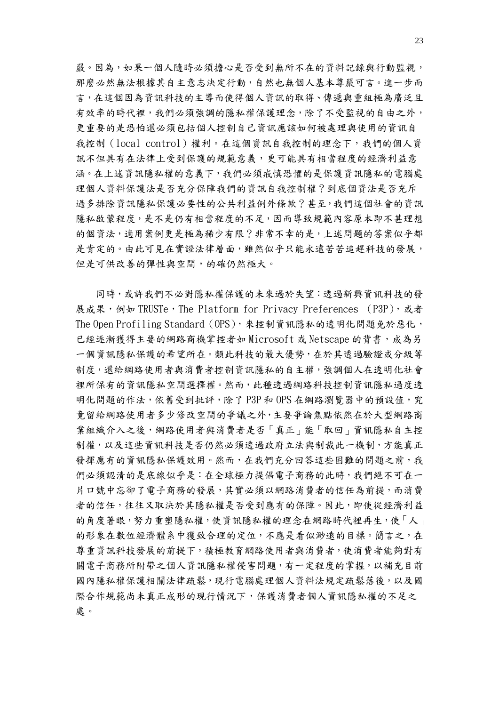嚴。因為,如果一個人隨時必須擔心是否受到無所不在的資料記錄與行動監視, 那麼必然無法根據其自主意志決定行動,自然也無個人基本尊嚴可言。進一步而 言,在這個因為資訊科技的主導而使得個人資訊的取得、傳遞與重組極為廣泛且 有效率的時代裡,我們必須強調的隱私權保護理念,除了不受監視的自由之外, 更重要的是恐怕還必須包括個人控制自己資訊應該如何被處理與使用的資訊自 我控制(local control)權利。在這個資訊自我控制的理念下,我們的個人資 訊不但具有在法律上受到保護的規範意義,更可能具有相當程度的經濟利益意 涵。在上述資訊隱私權的意義下,我們必須戒慎恐懼的是保護資訊隱私的電腦處 理個人資料保護法是否充分保障我們的資訊自我控制權?到底個資法是否充斥 過多排除資訊隱私保護必要性的公共利益例外條款?甚至,我們這個社會的資訊 隱私啟蒙程度,是不是仍有相當程度的不足,因而導致規範內容原本即不甚理想 的個資法,適用案例更是極為稀少有限?非常不幸的是,上述問題的答案似乎都 是肯定的。由此可見在實證法律層面,雖然似乎只能永遠苦苦追趕科技的發展, 但是可供改善的彈性與空間,的確仍然極大。

 同時,或許我們不必對隱私權保護的未來過於失望:透過新興資訊科技的發 展成果,例如 TRUSTe,The Platform for Privacy Preferences (P3P),或者 The Open Profiling Standard (OPS), 來控制資訊隱私的透明化問題免於惡化, 已經逐漸獲得主要的網路商機掌控者如 Microsoft 或 Netscape 的背書,成為另 一個資訊隱私保護的希望所在。類此科技的最大優勢,在於其透過驗證或分級等 制度,還給網路使用者與消費者控制資訊隱私的自主權,強調個人在透明化社會 裡所保有的資訊隱私空間選擇權。然而,此種透過網路科技控制資訊隱私過度透 明化問題的作法,依舊受到批評,除了 P3P 和 OPS 在網路瀏覽器中的預設值,究 竟留給網路使用者多少修改空間的爭議之外,主要爭論焦點依然在於大型網路商 業組織介入之後,網路使用者與消費者是否「真正」能「取回」資訊隱私自主控 制權,以及這些資訊科技是否仍然必須透過政府立法與制裁此一機制,方能真正 發揮應有的資訊隱私保護效用。然而,在我們充分回答這些困難的問題之前,我 們必須認清的是底線似乎是:在全球極力提倡電子商務的此時,我們絕不可在一 片口號中忘卻了電子商務的發展,其實必須以網路消費者的信任為前提,而消費 者的信任,往往又取決於其隱私權是否受到應有的保障。因此,即使從經濟利益 的角度著眼,努力重塑隱私權,使資訊隱私權的理念在網路時代裡再生,使「人」 的形象在數位經濟體系中獲致合理的定位,不應是看似渺遠的目標。簡言之,在 尊重資訊科技發展的前提下,積極教育網路使用者與消費者,使消費者能夠對有 關電子商務所附帶之個人資訊隱私權侵害問題,有一定程度的掌握,以補充目前 國內隱私權保護相關法律疏鬆,現行電腦處理個人資料法規定疏鬆落後,以及國 際合作規範尚未真正成形的現行情況下,保護消費者個人資訊隱私權的不足之 處。